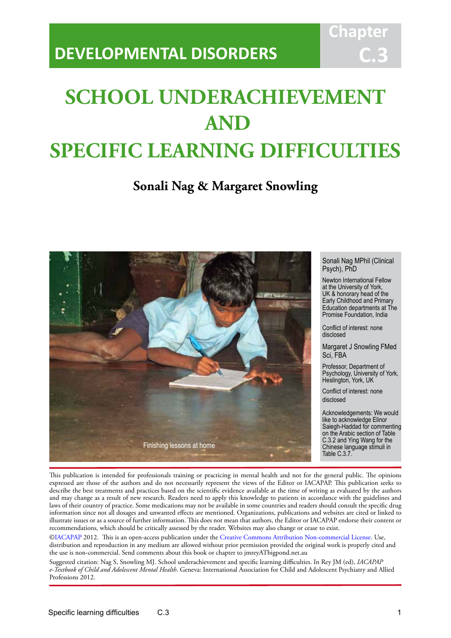# **DEVELOPMENTAL DISORDERS**

# **SCHOOL UNDERACHIEVEMENT AND SPECIFIC LEARNING DIFFICULTIES**

IACAPAP Textbook of Child and Adolescent Mental Health

## **Sonali Nag & Margaret Snowling**



Sonali Nag MPhil (Clinical Psych), PhD

**Chapt** 

**C.3**

Newton International Fellow at the University of York, UK & honorary head of the Early Childhood and Primary Education departments at The Promise Foundation, India

Conflict of interest: none disclosed

Margaret J Snowling FMed Sci, FBA

Professor, Department of Psychology, University of York, Heslington, York, UK

Conflict of interest: none disclosed

Acknowledgements: We would like to acknowledge Elinor Saiegh-Haddad for commenting on the Arabic section of Table C.3.2 and Ying Wang for the Chinese language stimuli in Table C.3.7.

This publication is intended for professionals training or practicing in mental health and not for the general public. The opinions expressed are those of the authors and do not necessarily represent the views of the Editor or IACAPAP. This publication seeks to describe the best treatments and practices based on the scientific evidence available at the time of writing as evaluated by the authors and may change as a result of new research. Readers need to apply this knowledge to patients in accordance with the guidelines and laws of their country of practice. Some medications may not be available in some countries and readers should consult the specific drug information since not all dosages and unwanted effects are mentioned. Organizations, publications and websites are cited or linked to illustrate issues or as a source of further information. This does not mean that authors, the Editor or IACAPAP endorse their content or recommendations, which should be critically assessed by the reader. Websites may also change or cease to exist.

[©IACAPAP](http://iacapap.org) 2012. This is an open-access publication under the [Creative Commons Attribution Non-commercial License](http://creativecommons.org). Use, distribution and reproduction in any medium are allowed without prior permission provided the original work is properly cited and the use is non-commercial. Send comments about this book or chapter to jmreyATbigpond.net.au

Suggested citation: Nag S, Snowling MJ. School underachievement and specific learning difficulties. In Rey JM (ed), *IACAPAP e-Textbook of Child and Adolescent Mental Health*. Geneva: International Association for Child and Adolescent Psychiatry and Allied Professions 2012.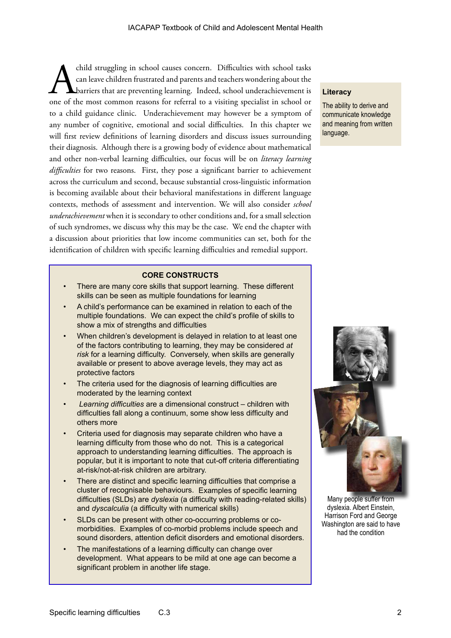child struggling in school causes concern. Difficulties with school tasks can leave children frustrated and parents and teachers wondering about the barriers that are preventing learning. Indeed, school underachievement is can leave children frustrated and parents and teachers wondering about the barriers that are preventing learning. Indeed, school underachievement is to a child guidance clinic. Underachievement may however be a symptom of any number of cognitive, emotional and social difficulties. In this chapter we will first review definitions of learning disorders and discuss issues surrounding their diagnosis. Although there is a growing body of evidence about mathematical and other non-verbal learning difficulties, our focus will be on *literacy learning difficulties* for two reasons. First, they pose a significant barrier to achievement across the curriculum and second, because substantial cross-linguistic information is becoming available about their behavioral manifestations in different language contexts, methods of assessment and intervention. We will also consider *school underachievement* when it is secondary to other conditions and, for a small selection of such syndromes, we discuss why this may be the case. We end the chapter with a discussion about priorities that low income communities can set, both for the identification of children with specific learning difficulties and remedial support.

### **CORE CONSTRUCTS**

- There are many core skills that support learning. These different skills can be seen as multiple foundations for learning
- A child's performance can be examined in relation to each of the multiple foundations. We can expect the child's profile of skills to show a mix of strengths and difficulties
- When children's development is delayed in relation to at least one of the factors contributing to learning, they may be considered *at risk* for a learning difficulty. Conversely, when skills are generally available or present to above average levels, they may act as protective factors
- The criteria used for the diagnosis of learning difficulties are moderated by the learning context
- *Learning difficulties* are a dimensional construct children with difficulties fall along a continuum, some show less difficulty and others more
- Criteria used for diagnosis may separate children who have a learning difficulty from those who do not. This is a categorical approach to understanding learning difficulties. The approach is popular, but it is important to note that cut-off criteria differentiating at-risk/not-at-risk children are arbitrary.
- There are distinct and specific learning difficulties that comprise a cluster of recognisable behaviours. Examples of specific learning difficulties (SLDs) are *dyslexia* (a difficulty with reading-related skills) and *dyscalculia* (a difficulty with numerical skills)
- SLDs can be present with other co-occurring problems or comorbidities. Examples of co-morbid problems include speech and sound disorders, attention deficit disorders and emotional disorders.
- The manifestations of a learning difficulty can change over development. What appears to be mild at one age can become a significant problem in another life stage.

### **Literacy**

The ability to derive and communicate knowledge and meaning from written language.



Many people suffer from dyslexia. Albert Einstein, Harrison Ford and George Washington are said to have had the condition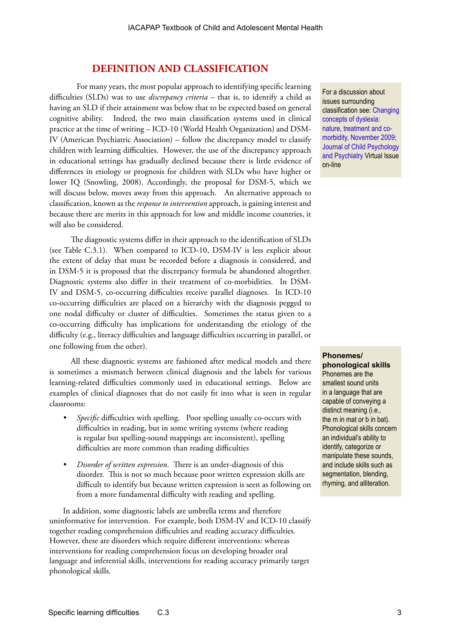### **DEFINITION AND CLASSIFICATION**

For many years, the most popular approach to identifying specific learning difficulties (SLDs) was to use *discrepancy criteria* – that is, to identify a child as having an SLD if their attainment was below that to be expected based on general cognitive ability. Indeed, the two main classification systems used in clinical practice at the time of writing – ICD-10 (World Health Organization) and DSM-IV (American Psychiatric Association) – follow the discrepancy model to classify children with learning difficulties. However, the use of the discrepancy approach in educational settings has gradually declined because there is little evidence of differences in etiology or prognosis for children with SLDs who have higher or lower IQ (Snowling, 2008). Accordingly, the proposal for DSM-5, which we will discuss below, moves away from this approach. An alternative approach to classification, known as the *response to intervention* approach, is gaining interest and because there are merits in this approach for low and middle income countries, it will also be considered.

The diagnostic systems differ in their approach to the identification of SLDs (see Table C.3.1). When compared to ICD-10, DSM-IV is less explicit about the extent of delay that must be recorded before a diagnosis is considered, and in DSM-5 it is proposed that the discrepancy formula be abandoned altogether. Diagnostic systems also differ in their treatment of co-morbidities. In DSM-IV and DSM-5, co-occurring difficulties receive parallel diagnoses. In ICD-10 co-occurring difficulties are placed on a hierarchy with the diagnosis pegged to one nodal difficulty or cluster of difficulties. Sometimes the status given to a co-occurring difficulty has implications for understanding the etiology of the difficulty (e.g., literacy difficulties and language difficulties occurring in parallel, or one following from the other).

All these diagnostic systems are fashioned after medical models and there is sometimes a mismatch between clinical diagnosis and the labels for various learning-related difficulties commonly used in educational settings. Below are examples of clinical diagnoses that do not easily fit into what is seen in regular classrooms:

- *• Specific* difficulties with spelling. Poor spelling usually co-occurs with difficulties in reading, but in some writing systems (where reading is regular but spelling-sound mappings are inconsistent), spelling difficulties are more common than reading difficulties
- *• Disorder of written expression*. There is an under-diagnosis of this disorder. This is not so much because poor written expression skills are difficult to identify but because written expression is seen as following on from a more fundamental difficulty with reading and spelling.

In addition, some diagnostic labels are umbrella terms and therefore uninformative for intervention. For example, both DSM-IV and ICD-10 classify together reading comprehension difficulties and reading accuracy difficulties. However, these are disorders which require different interventions: whereas interventions for reading comprehension focus on developing broader oral language and inferential skills, interventions for reading accuracy primarily target phonological skills.

For a discussion about issues surrounding classification see: [Changing](http://www.wiley.com/bw/vi.asp?ref=0021-9630&site=1)  [concepts of dyslexia:](http://www.wiley.com/bw/vi.asp?ref=0021-9630&site=1)  [nature, treatment and co](http://www.wiley.com/bw/vi.asp?ref=0021-9630&site=1)[morbidity, November 2009;](http://www.wiley.com/bw/vi.asp?ref=0021-9630&site=1)  [Journal of Child Psychology](http://www.wiley.com/bw/vi.asp?ref=0021-9630&site=1)  [and Psychiatry V](http://www.wiley.com/bw/vi.asp?ref=0021-9630&site=1)irtual Issue on-line

**Phonemes/ phonological skills** Phonemes are the smallest sound units in a language that are capable of conveying a distinct meaning (i.e., the m in mat or b in bat). Phonological skills concern an individual's ability to identify, categorize or manipulate these sounds, and include skills such as segmentation, blending, rhyming, and alliteration.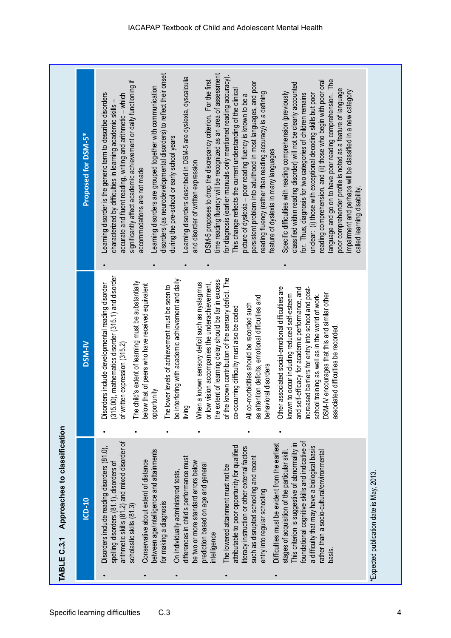|                                                                                                                                                                                                                                                                                                                                                                                                                                                                                                                                                                                                                                                                                                                                                                                                                                                                                                                                                                                                                                                                                                                                                                                                                                                                                                                                                                                                                                                                                                                                                                                                                                                                                                                                                                                                                                                                                                                                                                                                                                                                                                                                                                                                                                                                                                                                                                                                                                                                                                                                                                                                                                                                                                                                                                                                                                                                                                                                                                                                                                                                                                                                                                                                                                                                                                                                                                                                          | Approaches to classification<br>TABLE C.3.1 |                                                                                                                                                                                                                                                                                                                                                                                                                                                                                     |
|----------------------------------------------------------------------------------------------------------------------------------------------------------------------------------------------------------------------------------------------------------------------------------------------------------------------------------------------------------------------------------------------------------------------------------------------------------------------------------------------------------------------------------------------------------------------------------------------------------------------------------------------------------------------------------------------------------------------------------------------------------------------------------------------------------------------------------------------------------------------------------------------------------------------------------------------------------------------------------------------------------------------------------------------------------------------------------------------------------------------------------------------------------------------------------------------------------------------------------------------------------------------------------------------------------------------------------------------------------------------------------------------------------------------------------------------------------------------------------------------------------------------------------------------------------------------------------------------------------------------------------------------------------------------------------------------------------------------------------------------------------------------------------------------------------------------------------------------------------------------------------------------------------------------------------------------------------------------------------------------------------------------------------------------------------------------------------------------------------------------------------------------------------------------------------------------------------------------------------------------------------------------------------------------------------------------------------------------------------------------------------------------------------------------------------------------------------------------------------------------------------------------------------------------------------------------------------------------------------------------------------------------------------------------------------------------------------------------------------------------------------------------------------------------------------------------------------------------------------------------------------------------------------------------------------------------------------------------------------------------------------------------------------------------------------------------------------------------------------------------------------------------------------------------------------------------------------------------------------------------------------------------------------------------------------------------------------------------------------------------------------------------------------|---------------------------------------------|-------------------------------------------------------------------------------------------------------------------------------------------------------------------------------------------------------------------------------------------------------------------------------------------------------------------------------------------------------------------------------------------------------------------------------------------------------------------------------------|
| Proposed for DSM-5*<br><b>DSM-IV</b><br>ICD-10                                                                                                                                                                                                                                                                                                                                                                                                                                                                                                                                                                                                                                                                                                                                                                                                                                                                                                                                                                                                                                                                                                                                                                                                                                                                                                                                                                                                                                                                                                                                                                                                                                                                                                                                                                                                                                                                                                                                                                                                                                                                                                                                                                                                                                                                                                                                                                                                                                                                                                                                                                                                                                                                                                                                                                                                                                                                                                                                                                                                                                                                                                                                                                                                                                                                                                                                                           |                                             |                                                                                                                                                                                                                                                                                                                                                                                                                                                                                     |
| reading comprehension, and (ii) those who begin with poor oral<br>persistent problem into adulthood in most languages, and poor<br>classified within reading disorder) will not be clearly accounted<br>Learning disorders are grouped together with communication<br>poor comprehender profile is noted as a feature of language<br>This change reflects the current understanding of the clinical<br>impairment and perhaps will be classified in a new category<br>Specific difficulties with reading comprehension (previously<br>reading fluency (rather than reading accuracy) is a defining<br>Learning disorder is the generic term to describe disorders<br>for. Thus, diagnosis for two categories of children remains<br>unclear: (i) those with exceptional decoding skills but poor<br>accurate and fluent reading, writing and arithmetic - which<br>picture of dyslexia - poor reading fluency is known to be a<br>characterized by difficulties in learning academic skills-<br>during the pre-school or early school years<br>feature of dyslexia in many languages<br>and disorder of written expression<br>accommodations are not made<br>called learning disability.<br>(315.00), mathematics disorder (315.1) and disorder<br>of the known contribution of the sensory deficit. The<br>be interfering with academic achievement and daily<br>the extent of learning delay should be far in excess<br>The child's extent of learning must be substantially<br>When a known sensory deficit such as nystagmus<br>or low vision accompanies the underachievement,<br>Disorders include developmental reading disorder<br>below that of peers who have received equivalent<br>ower levels of achievement must be seen to<br>increased barriers for entry into school and post-<br>Other associated social-emotional difficulties are<br>and self-efficacy for academic performance, and<br>DSM-IV encourages that this and similar other<br>known to occur including reduced self-esteem<br>school training as well as in the world of work.<br>as attention deficits, emotional difficulties and<br>All co-morbidities should be recorded such<br>co-occurring difficulty must also be coded<br>associated difficulties be recorded<br>of written expression (315.2)<br>behavioral disorders<br>opportunity<br>living<br>The l<br>foundational cognitive skills and indicative of<br>arithmetic skills (81.2) and mixed disorder of<br>Difficulties must be evident from the earliest<br>This criterion is suggestive of abnormality in<br>Disorders include reading disorders (81.0),<br>attributable to poor opportunity for qualified<br>a difficulty that may have a biological basis<br>iteracy instruction or other external factors<br>between age/intelligence and attainments<br>rather than a socio-cultural/environmental<br>stages of acquisition of the particular skill<br>differences in child's performance must<br>such as disrupted schooling and recent<br>Conservative about extent of distance<br>be two or more standard errors below<br>spelling disorders (81.1), disorders of<br>prediction based on age and general<br>The lowered attainment must not be<br>On individually administered tests,<br>*Expected publication date is May, 2013.<br>entry into regular schooling<br>for making a diagnosis<br>scholastic skills (81.3)<br>intelligence<br>basis. |                                             | disorders (as neurodevelopmental disorders) to reflect their onset<br>time reading fluency will be recognized as an area of assessment<br>for diagnosis (earlier manuals only mentioned reading accuracy).<br>Learning disorders described in DSM-5 are dyslexia, dyscalculia<br>DSM-5 proposes to drop the discrepancy criterion. For the first<br>language and go on to have poor reading comprehension. The<br>significantly affect academic achievement or daily functioning if |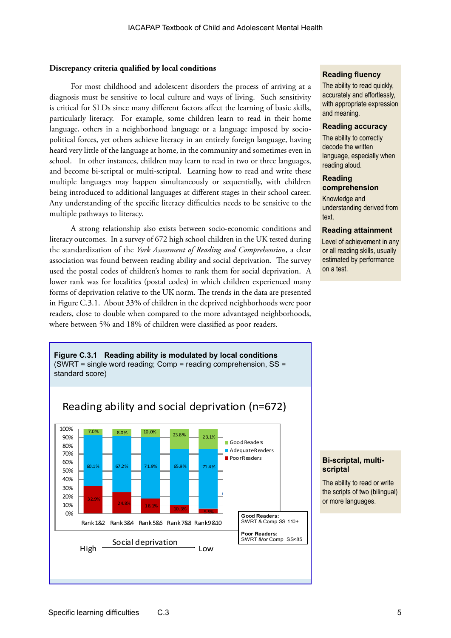### **Discrepancy criteria qualified by local conditions**

For most childhood and adolescent disorders the process of arriving at a diagnosis must be sensitive to local culture and ways of living. Such sensitivity is critical for SLDs since many different factors affect the learning of basic skills, particularly literacy. For example, some children learn to read in their home language, others in a neighborhood language or a language imposed by sociopolitical forces, yet others achieve literacy in an entirely foreign language, having heard very little of the language at home, in the community and sometimes even in school. In other instances, children may learn to read in two or three languages, and become bi-scriptal or multi-scriptal. Learning how to read and write these multiple languages may happen simultaneously or sequentially, with children being introduced to additional languages at different stages in their school career. Any understanding of the specific literacy difficulties needs to be sensitive to the multiple pathways to literacy.

A strong relationship also exists between socio-economic conditions and literacy outcomes. In a survey of 672 high school children in the UK tested during the standardization of the *York Assessment of Reading and Comprehension*, a clear association was found between reading ability and social deprivation. The survey used the postal codes of children's homes to rank them for social deprivation. A lower rank was for localities (postal codes) in which children experienced many forms of deprivation relative to the UK norm. The trends in the data are presented in Figure C.3.1. About 33% of children in the deprived neighborhoods were poor readers, close to double when compared to the more advantaged neighborhoods, where between 5% and 18% of children were classified as poor readers.

### **Reading fluency**

The ability to read quickly, accurately and effortlessly, with appropriate expression and meaning.

### **Reading accuracy**

The ability to correctly decode the written language, especially when reading aloud.

### **Reading comprehension**

Knowledge and understanding derived from text.

### **Reading attainment**

Level of achievement in any or all reading skills, usually estimated by performance on a test.



### **Bi-scriptal, multiscriptal**

The ability to read or write the scripts of two (bilingual) or more languages.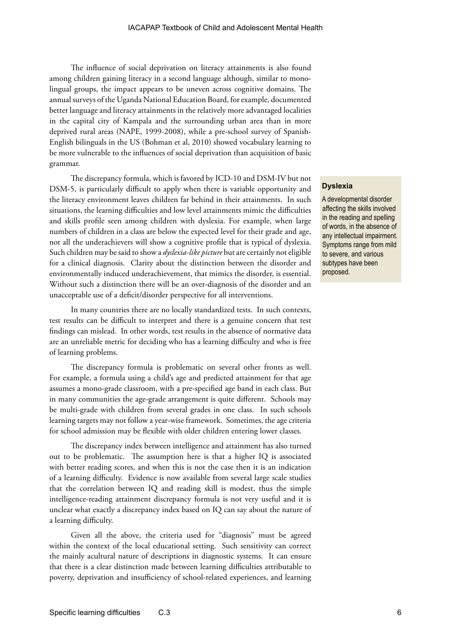The influence of social deprivation on literacy attainments is also found among children gaining literacy in a second language although, similar to monolingual groups, the impact appears to be uneven across cognitive domains. The annual surveys of the Uganda National Education Board, for example, documented better language and literacy attainments in the relatively more advantaged localities in the capital city of Kampala and the surrounding urban area than in more deprived rural areas (NAPE, 1999-2008), while a pre-school survey of Spanish-English bilinguals in the US (Bohman et al, 2010) showed vocabulary learning to be more vulnerable to the influences of social deprivation than acquisition of basic grammar.

The discrepancy formula, which is favored by ICD-10 and DSM-IV but not DSM-5, is particularly difficult to apply when there is variable opportunity and the literacy environment leaves children far behind in their attainments. In such situations, the learning difficulties and low level attainments mimic the difficulties and skills profile seen among children with dyslexia. For example, when large numbers of children in a class are below the expected level for their grade and age, not all the underachievers will show a cognitive profile that is typical of dyslexia. Such children may be said to show a *dyslexia-like picture* but are certainly not eligible for a clinical diagnosis. Clarity about the distinction between the disorder and environmentally induced underachievement, that mimics the disorder, is essential. Without such a distinction there will be an over-diagnosis of the disorder and an unacceptable use of a deficit/disorder perspective for all interventions.

In many countries there are no locally standardized tests. In such contexts, test results can be difficult to interpret and there is a genuine concern that test findings can mislead. In other words, test results in the absence of normative data are an unreliable metric for deciding who has a learning difficulty and who is free of learning problems.

The discrepancy formula is problematic on several other fronts as well. For example, a formula using a child's age and predicted attainment for that age assumes a mono-grade classroom, with a pre-specified age band in each class. But in many communities the age-grade arrangement is quite different. Schools may be multi-grade with children from several grades in one class. In such schools learning targets may not follow a year-wise framework. Sometimes, the age criteria for school admission may be flexible with older children entering lower classes.

The discrepancy index between intelligence and attainment has also turned out to be problematic. The assumption here is that a higher IQ is associated with better reading scores, and when this is not the case then it is an indication of a learning difficulty. Evidence is now available from several large scale studies that the correlation between IQ and reading skill is modest, thus the simple intelligence-reading attainment discrepancy formula is not very useful and it is unclear what exactly a discrepancy index based on IQ can say about the nature of a learning difficulty.

Given all the above, the criteria used for "diagnosis" must be agreed within the context of the local educational setting. Such sensitivity can correct the mainly acultural nature of descriptions in diagnostic systems. It can ensure that there is a clear distinction made between learning difficulties attributable to poverty, deprivation and insufficiency of school-related experiences, and learning

### **Dyslexia**

A developmental disorder affecting the skills involved in the reading and spelling of words, in the absence of any intellectual impairment. Symptoms range from mild to severe, and various subtypes have been proposed.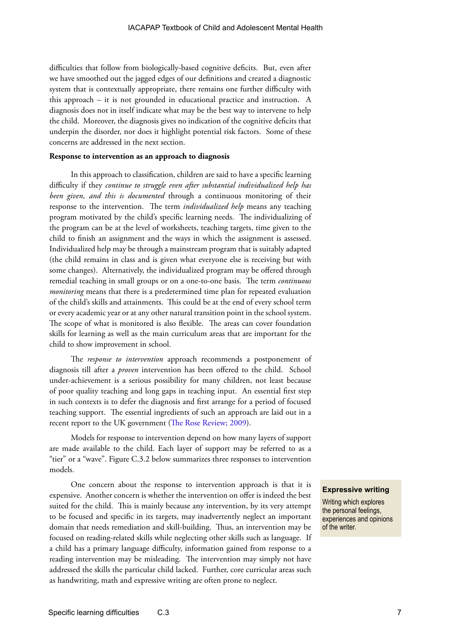difficulties that follow from biologically-based cognitive deficits. But, even after we have smoothed out the jagged edges of our definitions and created a diagnostic system that is contextually appropriate, there remains one further difficulty with this approach – it is not grounded in educational practice and instruction. A diagnosis does not in itself indicate what may be the best way to intervene to help the child. Moreover, the diagnosis gives no indication of the cognitive deficits that underpin the disorder, nor does it highlight potential risk factors. Some of these concerns are addressed in the next section.

### **Response to intervention as an approach to diagnosis**

In this approach to classification, children are said to have a specific learning difficulty if they *continue to struggle even after substantial individualized help has been given, and this is documented* through a continuous monitoring of their response to the intervention. The term *individualized help* means any teaching program motivated by the child's specific learning needs. The individualizing of the program can be at the level of worksheets, teaching targets, time given to the child to finish an assignment and the ways in which the assignment is assessed. Individualized help may be through a mainstream program that is suitably adapted (the child remains in class and is given what everyone else is receiving but with some changes). Alternatively, the individualized program may be offered through remedial teaching in small groups or on a one-to-one basis. The term *continuous monitoring* means that there is a predetermined time plan for repeated evaluation of the child's skills and attainments. This could be at the end of every school term or every academic year or at any other natural transition point in the school system. The scope of what is monitored is also flexible. The areas can cover foundation skills for learning as well as the main curriculum areas that are important for the child to show improvement in school.

The *response to intervention* approach recommends a postponement of diagnosis till after a *proven* intervention has been offered to the child. School under-achievement is a serious possibility for many children, not least because of poor quality teaching and long gaps in teaching input. An essential first step in such contexts is to defer the diagnosis and first arrange for a period of focused teaching support. The essential ingredients of such an approach are laid out in a recent report to the UK government [\(The Rose Review; 2009](https://www.education.gov.uk/publications/eOrderingDownload/00659-2009DOM-EN.pdf).  )).

Models for response to intervention depend on how many layers of support are made available to the child. Each layer of support may be referred to as a "tier" or a "wave". Figure C.3.2 below summarizes three responses to intervention models.

One concern about the response to intervention approach is that it is expensive. Another concern is whether the intervention on offer is indeed the best suited for the child. This is mainly because any intervention, by its very attempt to be focused and specific in its targets, may inadvertently neglect an important domain that needs remediation and skill-building. Thus, an intervention may be focused on reading-related skills while neglecting other skills such as language. If a child has a primary language difficulty, information gained from response to a reading intervention may be misleading. The intervention may simply not have addressed the skills the particular child lacked. Further, core curricular areas such as handwriting, math and expressive writing are often prone to neglect.

### **Expressive writing**

Writing which explores the personal feelings, experiences and opinions of the writer.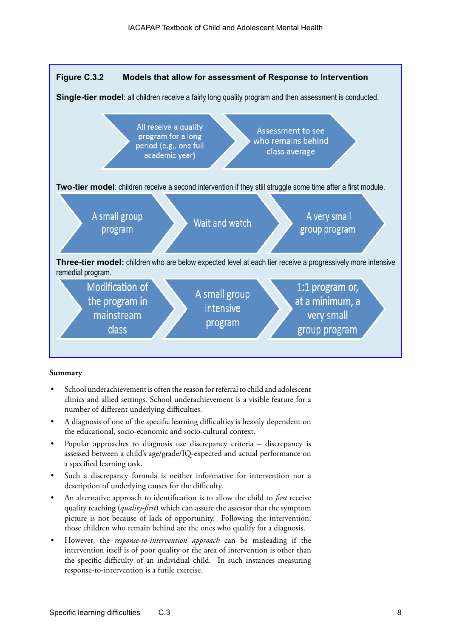

### **Summary**

- School underachievement is often the reason for referral to child and adolescent clinics and allied settings. School underachievement is a visible feature for a number of different underlying difficulties.
- A diagnosis of one of the specific learning difficulties is heavily dependent on the educational, socio-economic and socio-cultural context.
- Popular approaches to diagnosis use discrepancy criteria discrepancy is assessed between a child's age/grade/IQ-expected and actual performance on a specified learning task.
- Such a discrepancy formula is neither informative for intervention nor a description of underlying causes for the difficulty.
- An alternative approach to identification is to allow the child to *first* receive quality teaching (*quality-first*) which can assure the assessor that the symptom picture is not because of lack of opportunity. Following the intervention, those children who remain behind are the ones who qualify for a diagnosis.
- However, the *response-to-intervention approach* can be misleading if the intervention itself is of poor quality or the area of intervention is other than the specific difficulty of an individual child. In such instances measuring response-to-intervention is a futile exercise.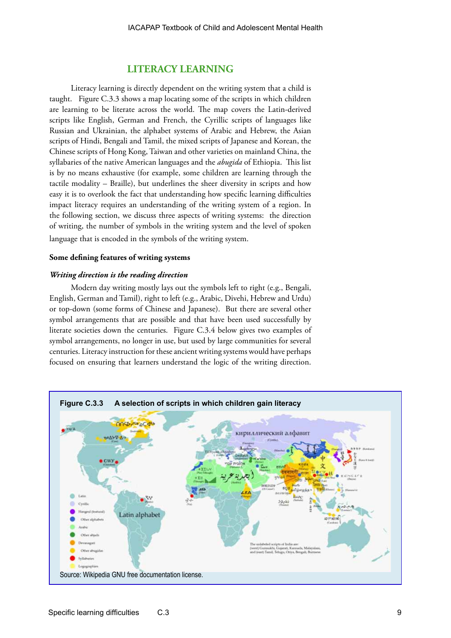### **LITERACY LEARNING**

Literacy learning is directly dependent on the writing system that a child is taught. Figure C.3.3 shows a map locating some of the scripts in which children are learning to be literate across the world. The map covers the Latin-derived scripts like English, German and French, the Cyrillic scripts of languages like Russian and Ukrainian, the alphabet systems of Arabic and Hebrew, the Asian scripts of Hindi, Bengali and Tamil, the mixed scripts of Japanese and Korean, the Chinese scripts of Hong Kong, Taiwan and other varieties on mainland China, the syllabaries of the native American languages and the *abugida* of Ethiopia. This list is by no means exhaustive (for example, some children are learning through the tactile modality – Braille), but underlines the sheer diversity in scripts and how easy it is to overlook the fact that understanding how specific learning difficulties impact literacy requires an understanding of the writing system of a region. In the following section, we discuss three aspects of writing systems: the direction of writing, the number of symbols in the writing system and the level of spoken language that is encoded in the symbols of the writing system.

### **Some defining features of writing systems**

### *Writing direction is the reading direction*

Modern day writing mostly lays out the symbols left to right (e.g., Bengali, English, German and Tamil), right to left (e.g., Arabic, Divehi, Hebrew and Urdu) or top-down (some forms of Chinese and Japanese). But there are several other symbol arrangements that are possible and that have been used successfully by literate societies down the centuries. Figure C.3.4 below gives two examples of symbol arrangements, no longer in use, but used by large communities for several centuries. Literacy instruction for these ancient writing systems would have perhaps focused on ensuring that learners understand the logic of the writing direction.

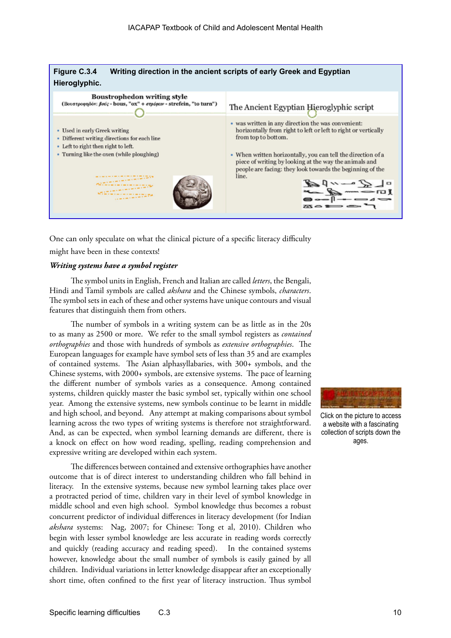

One can only speculate on what the clinical picture of a specific literacy difficulty might have been in these contexts!

### *Writing systems have a symbol register*

The symbol units in English, French and Italian are called *letters*, the Bengali, Hindi and Tamil symbols are called *akshara* and the Chinese symbols, *characters*. The symbol sets in each of these and other systems have unique contours and visual features that distinguish them from others.

The number of symbols in a writing system can be as little as in the 20s to as many as 2500 or more. We refer to the small symbol registers as *contained orthographies* and those with hundreds of symbols as *extensive orthographies*. The European languages for example have symbol sets of less than 35 and are examples of contained systems. The Asian alphasyllabaries, with 300+ symbols, and the Chinese systems, with 2000+ symbols, are extensive systems. The pace of learning the different number of symbols varies as a consequence. Among contained systems, children quickly master the basic symbol set, typically within one school year. Among the extensive systems, new symbols continue to be learnt in middle and high school, and beyond. Any attempt at making comparisons about symbol learning across the two types of writing systems is therefore not straightforward. And, as can be expected, when symbol learning demands are different, there is a knock on effect on how word reading, spelling, reading comprehension and expressive writing are developed within each system.

The differences between contained and extensive orthographies have another outcome that is of direct interest to understanding children who fall behind in literacy. In the extensive systems, because new symbol learning takes place over a protracted period of time, children vary in their level of symbol knowledge in middle school and even high school. Symbol knowledge thus becomes a robust concurrent predictor of individual differences in literacy development (for Indian *akshara* systems: Nag, 2007; for Chinese: Tong et al, 2010). Children who begin with lesser symbol knowledge are less accurate in reading words correctly and quickly (reading accuracy and reading speed). In the contained systems however, knowledge about the small number of symbols is easily gained by all children. Individual variations in letter knowledge disappear after an exceptionally short time, often confined to the first year of literacy instruction. Thus symbol



Click on the picture to access a website with a fascinating collection of scripts down the ages.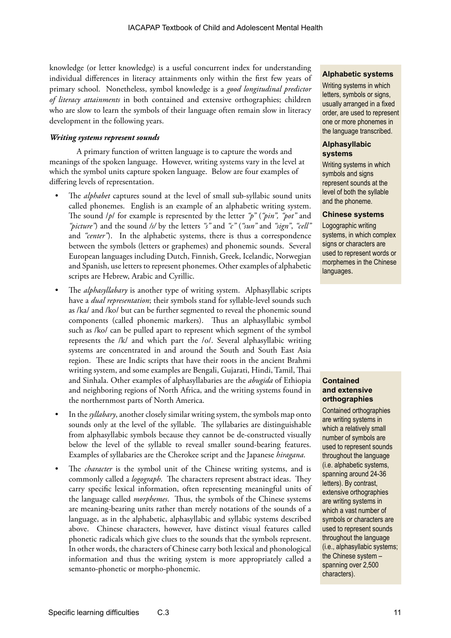knowledge (or letter knowledge) is a useful concurrent index for understanding individual differences in literacy attainments only within the first few years of primary school. Nonetheless, symbol knowledge is a *good longitudinal predictor of literacy attainments* in both contained and extensive orthographies; children who are slow to learn the symbols of their language often remain slow in literacy development in the following years.

### *Writing systems represent sounds*

A primary function of written language is to capture the words and meanings of the spoken language. However, writing systems vary in the level at which the symbol units capture spoken language. Below are four examples of differing levels of representation.

- The *alphabet* captures sound at the level of small sub-syllabic sound units called phonemes. English is an example of an alphabetic writing system. The sound /*p*/ for example is represented by the letter *"p"* (*"pin", "pot"* and *"picture"*) and the sound */s/* by the letters *"s"* and *"c"* (*"sun"* and *"sign"*, *"cell"*  and *"center"*). In the alphabetic systems, there is thus a correspondence between the symbols (letters or graphemes) and phonemic sounds. Several European languages including Dutch, Finnish, Greek, Icelandic, Norwegian and Spanish, use letters to represent phonemes. Other examples of alphabetic scripts are Hebrew, Arabic and Cyrillic.
- The *alphasyllabary* is another type of writing system. Alphasyllabic scripts have a *dual representation*; their symbols stand for syllable-level sounds such as /ka/ and /ko/ but can be further segmented to reveal the phonemic sound components (called phonemic markers). Thus an alphasyllabic symbol such as /ko/ can be pulled apart to represent which segment of the symbol represents the /k/ and which part the /o/. Several alphasyllabic writing systems are concentrated in and around the South and South East Asia region. These are Indic scripts that have their roots in the ancient Brahmi writing system, and some examples are Bengali, Gujarati, Hindi, Tamil, Thai and Sinhala. Other examples of alphasyllabaries are the *abugida* of Ethiopia and neighboring regions of North Africa, and the writing systems found in the northernmost parts of North America.
- In the*syllabary*, another closely similar writing system, the symbols map onto sounds only at the level of the syllable. The syllabaries are distinguishable from alphasyllabic symbols because they cannot be de-constructed visually below the level of the syllable to reveal smaller sound-bearing features. Examples of syllabaries are the Cherokee script and the Japanese *hiragana*.
- The *character* is the symbol unit of the Chinese writing systems, and is commonly called a *logograph*. The characters represent abstract ideas. They carry specific lexical information, often representing meaningful units of the language called *morphemes*. Thus, the symbols of the Chinese systems are meaning-bearing units rather than merely notations of the sounds of a language, as in the alphabetic, alphasyllabic and syllabic systems described above. Chinese characters, however, have distinct visual features called phonetic radicals which give clues to the sounds that the symbols represent. In other words, the characters of Chinese carry both lexical and phonological information and thus the writing system is more appropriately called a semanto-phonetic or morpho-phonemic.

### **Alphabetic systems**

Writing systems in which letters, symbols or signs, usually arranged in a fixed order, are used to represent one or more phonemes in the language transcribed.

### **Alphasyllabic systems**

Writing systems in which symbols and signs represent sounds at the level of both the syllable and the phoneme.

### **Chinese systems**

Logographic writing systems, in which complex signs or characters are used to represent words or morphemes in the Chinese languages.

### **Contained and extensive orthographies**

Contained orthographies are writing systems in which a relatively small number of symbols are used to represent sounds throughout the language (i.e. alphabetic systems, spanning around 24-36 letters). By contrast, extensive orthographies are writing systems in which a vast number of symbols or characters are used to represent sounds throughout the language (i.e., alphasyllabic systems; the Chinese system – spanning over 2,500 characters).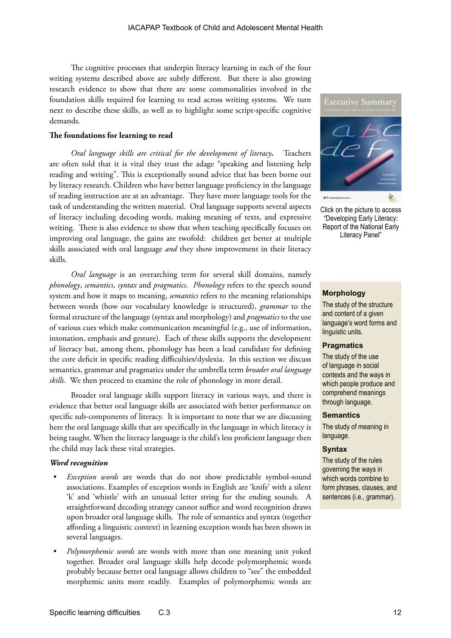The cognitive processes that underpin literacy learning in each of the four writing systems described above are subtly different. But there is also growing research evidence to show that there are some commonalities involved in the foundation skills required for learning to read across writing systems. We turn next to describe these skills, as well as to highlight some script-specific cognitive demands.

### **The foundations for learning to read**

*Oral language skills are critical for the development of literacy***.** Teachers are often told that it is vital they trust the adage "speaking and listening help reading and writing". This is exceptionally sound advice that has been borne out by literacy research. Children who have better language proficiency in the language of reading instruction are at an advantage. They have more language tools for the task of understanding the written material. Oral language supports several aspects of literacy including decoding words, making meaning of texts, and expressive writing. There is also evidence to show that when teaching specifically focuses on improving oral language, the gains are twofold: children get better at multiple skills associated with oral language *and* they show improvement in their literacy skills.

*Oral language* is an overarching term for several skill domains, namely *phonology*, *semantics*, *syntax* and *pragmatics*. *Phonology* refers to the speech sound system and how it maps to meaning, *semantics* refers to the meaning relationships between words (how our vocabulary knowledge is structured), *grammar* to the formal structure of the language (syntax and morphology) and *pragmatics* to the use of various cues which make communication meaningful (e.g., use of information, intonation, emphasis and gesture). Each of these skills supports the development of literacy but, among them, phonology has been a lead candidate for defining the core deficit in specific reading difficulties/dyslexia. In this section we discuss semantics, grammar and pragmatics under the umbrella term *broader oral language skills.* We then proceed to examine the role of phonology in more detail.

Broader oral language skills support literacy in various ways, and there is evidence that better oral language skills are associated with better performance on specific sub-components of literacy. It is important to note that we are discussing here the oral language skills that are specifically in the language in which literacy is being taught. When the literacy language is the child's less proficient language then the child may lack these vital strategies.

### *Word recognition*

- *Exception words* are words that do not show predictable symbol-sound associations. Examples of exception words in English are 'knife' with a silent 'k' and 'whistle' with an unusual letter string for the ending sounds. A straightforward decoding strategy cannot suffice and word recognition draws upon broader oral language skills. The role of semantics and syntax (together affording a linguistic context) in learning exception words has been shown in several languages.
- *• Polymorphemic words* are words with more than one meaning unit yoked together. Broader oral language skills help decode polymorphemic words probably because better oral language allows children to "see" the embedded morphemic units more readily. Examples of polymorphemic words are



Click on the picture to access "Developing Early Literacy: Report of the National Early Literacy Panel"

### **Morphology**

The study of the structure and content of a given language's word forms and linguistic units.

### **Pragmatics**

The study of the use of language in social contexts and the ways in which people produce and comprehend meanings through language.

#### **Semantics**

The study of meaning in language.

### **Syntax**

The study of the rules governing the ways in which words combine to form phrases, clauses, and sentences (i.e., grammar).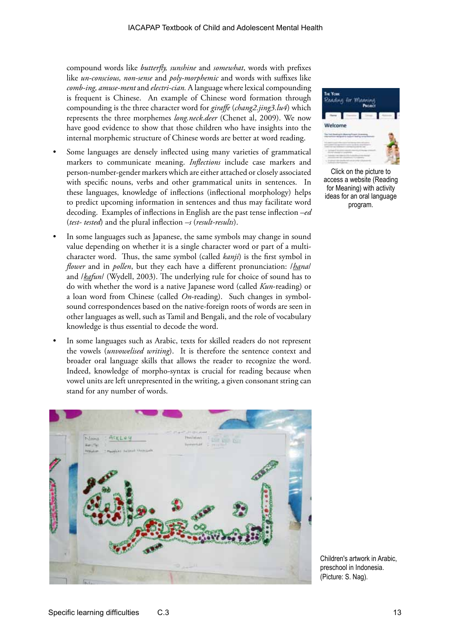compound words like *butterfly, sunshine* and *somewhat*, words with prefixes like *un-conscious, non-sense* and *poly-morphemic* and words with suffixes like *comb-ing, amuse-ment* and *electri-cian.* A language where lexical compounding is frequent is Chinese. An example of Chinese word formation through compounding is the three character word for *giraffe* (*chang2.jing3.lu4*) which represents the three morphemes *long.neck.deer* (Chenet al, 2009). We now have good evidence to show that those children who have insights into the internal morphemic structure of Chinese words are better at word reading.

- Some languages are densely inflected using many varieties of grammatical markers to communicate meaning. *Inflections* include case markers and person-number-gender markers which are either attached or closely associated with specific nouns, verbs and other grammatical units in sentences. In these languages, knowledge of inflections (inflectional morphology) helps to predict upcoming information in sentences and thus may facilitate word decoding. Examples of inflections in English are the past tense inflection *–ed* (*test- tested*) and the plural inflection *–s* (*result-results*).
- In some languages such as Japanese, the same symbols may change in sound value depending on whether it is a single character word or part of a multicharacter word. Thus, the same symbol (called *kanji*) is the first symbol in *flower* and in *pollen*, but they each have a different pronunciation: /*hana*/ and /*kafun*/ (Wydell, 2003). The underlying rule for choice of sound has to do with whether the word is a native Japanese word (called *Kun*-reading) or a loan word from Chinese (called *On*-reading). Such changes in symbolsound correspondences based on the native-foreign roots of words are seen in other languages as well, such as Tamil and Bengali, and the role of vocabulary knowledge is thus essential to decode the word.
- In some languages such as Arabic, texts for skilled readers do not represent the vowels (*unvowelised writing*). It is therefore the sentence context and broader oral language skills that allows the reader to recognize the word. Indeed, knowledge of morpho-syntax is crucial for reading because when vowel units are left unrepresented in the writing, a given consonant string can stand for any number of words.



Click on the picture to access a website (Reading for Meaning) with activity ideas for an oral language program.

Children's artwork in Arabic, preschool in Indonesia. (Picture: S. Nag).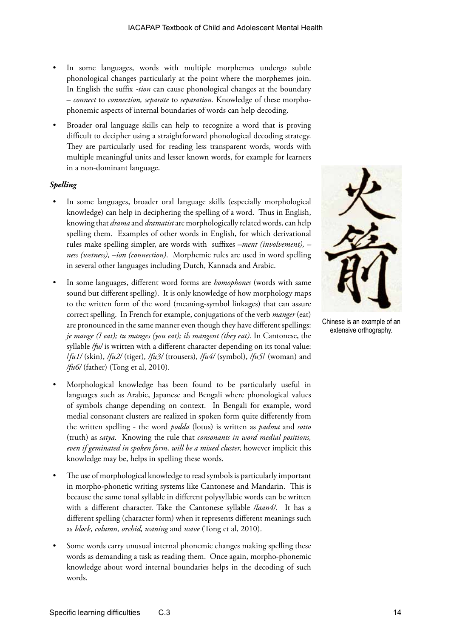- In some languages, words with multiple morphemes undergo subtle phonological changes particularly at the point where the morphemes join. In English the suffix *-tion* can cause phonological changes at the boundary – *connect* to *connection, separate* to *separation.* Knowledge of these morphophonemic aspects of internal boundaries of words can help decoding.
- Broader oral language skills can help to recognize a word that is proving difficult to decipher using a straightforward phonological decoding strategy. They are particularly used for reading less transparent words, words with multiple meaningful units and lesser known words, for example for learners in a non-dominant language.

### *Spelling*

- In some languages, broader oral language skills (especially morphological knowledge) can help in deciphering the spelling of a word. Thus in English, knowing that *drama* and *dramatist* are morphologically related words, can help spelling them. Examples of other words in English, for which derivational rules make spelling simpler, are words with suffixes *–ment (involvement), – ness (wetness), –ion (connection)*. Morphemic rules are used in word spelling in several other languages including Dutch, Kannada and Arabic.
- In some languages, different word forms are *homophones* (words with same sound but different spelling). It is only knowledge of how morphology maps to the written form of the word (meaning-symbol linkages) that can assure correct spelling. In French for example, conjugations of the verb *manger* (eat) are pronounced in the same manner even though they have different spellings: *je mange (I eat); tu manges (you eat); ils mangent (they eat).* In Cantonese, the syllable /fu/ is written with a different character depending on its tonal value: /*fu1/* (skin), */fu2/* (tiger)*, /fu3/* (trousers), */fu4/* (symbol), */fu5*/ (woman) and */fu6/* (father) (Tong et al, 2010).
- Morphological knowledge has been found to be particularly useful in languages such as Arabic, Japanese and Bengali where phonological values of symbols change depending on context. In Bengali for example, word medial consonant clusters are realized in spoken form quite differently from the written spelling - the word *podda* (lotus) is written as *padma* and *sotto* (truth) as *satya*. Knowing the rule that *consonants in word medial positions, even if geminated in spoken form, will be a mixed cluster,* however implicit this knowledge may be, helps in spelling these words.
- The use of morphological knowledge to read symbols is particularly important in morpho-phonetic writing systems like Cantonese and Mandarin. This is because the same tonal syllable in different polysyllabic words can be written with a different character. Take the Cantonese syllable */laan4/.* It has a different spelling (character form) when it represents different meanings such as *block*, *column, orchid, waning* and *wave* (Tong et al, 2010).
- Some words carry unusual internal phonemic changes making spelling these words as demanding a task as reading them. Once again, morpho-phonemic knowledge about word internal boundaries helps in the decoding of such words.



Chinese is an example of an extensive orthography.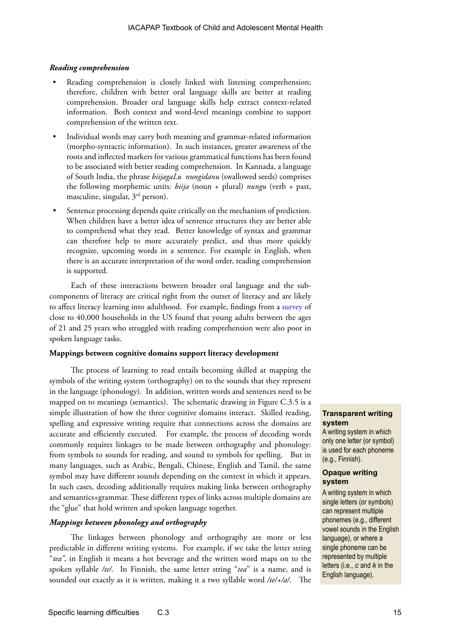### *Reading comprehension*

- Reading comprehension is closely linked with listening comprehension; therefore, children with better oral language skills are better at reading comprehension. Broader oral language skills help extract context-related information. Both context and word-level meanings combine to support comprehension of the written text.
- Individual words may carry both meaning and grammar-related information (morpho-syntactic information). In such instances, greater awareness of the roots and inflected markers for various grammatical functions has been found to be associated with better reading comprehension. In Kannada, a language of South India, the phrase *biijagaLu nungidanu* (swallowed seeds) comprises the following morphemic units*: biija* (noun + plural) *nungu* (verb + past, masculine, singular, 3rd person).
- Sentence processing depends quite critically on the mechanism of prediction. When children have a better idea of sentence structures they are better able to comprehend what they read. Better knowledge of syntax and grammar can therefore help to more accurately predict, and thus more quickly recognize, upcoming words in a sentence. For example in English, when there is an accurate interpretation of the word order, reading comprehension is supported.

Each of these interactions between broader oral language and the subcomponents of literacy are critical right from the outset of literacy and are likely to affect literacy learning into adulthood. For example, findings from a [survey](http://www.ets.org/research/policy_research_reports/16-pl-02) of close to 40,000 households in the US found that young adults between the ages of 21 and 25 years who struggled with reading comprehension were also poor in spoken language tasks.

### **Mappings between cognitive domains support literacy development**

The process of learning to read entails becoming skilled at mapping the symbols of the writing system (orthography) on to the sounds that they represent in the language (phonology). In addition, written words and sentences need to be mapped on to meanings (semantics). The schematic drawing in Figure C.3.5 is a simple illustration of how the three cognitive domains interact. Skilled reading, spelling and expressive writing require that connections across the domains are accurate and efficiently executed. For example, the process of decoding words commonly requires linkages to be made between orthography and phonology: from symbols to sounds for reading, and sound to symbols for spelling. But in many languages, such as Arabic, Bengali, Chinese, English and Tamil, the same symbol may have different sounds depending on the context in which it appears. In such cases, decoding additionally requires making links between orthography and semantics+grammar. These different types of links across multiple domains are the "glue" that hold written and spoken language together.

### *Mappings between phonology and orthography*

The linkages between phonology and orthography are more or less predictable in different writing systems. For example, if we take the letter string "*tea"*, in English it means a hot beverage and the written word maps on to the spoken syllable */te/*. In Finnish, the same letter string "*tea*" is a name, and is sounded out exactly as it is written, making it a two syllable word */te/+/a/*. The

### **Transparent writing system**

A writing system in which only one letter (or symbol) is used for each phoneme (e.g., Finnish).

### **Opaque writing system**

A writing system in which single letters (or symbols) can represent multiple phonemes (e.g., different vowel sounds in the English language), or where a single phoneme can be represented by multiple letters (i.e., *c* and *k* in the English language).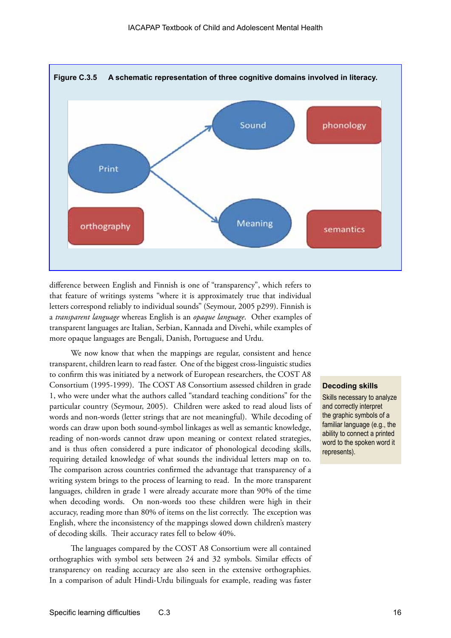

difference between English and Finnish is one of "transparency", which refers to that feature of writings systems "where it is approximately true that individual letters correspond reliably to individual sounds" (Seymour, 2005 p299). Finnish is a *transparent language* whereas English is an *opaque language*. Other examples of transparent languages are Italian, Serbian, Kannada and Divehi, while examples of more opaque languages are Bengali, Danish, Portuguese and Urdu.

We now know that when the mappings are regular, consistent and hence transparent, children learn to read faster. One of the biggest cross-linguistic studies to confirm this was initiated by a network of European researchers, the COST A8 Consortium (1995-1999). The COST A8 Consortium assessed children in grade 1, who were under what the authors called "standard teaching conditions" for the particular country (Seymour, 2005). Children were asked to read aloud lists of words and non-words (letter strings that are not meaningful). While decoding of words can draw upon both sound-symbol linkages as well as semantic knowledge, reading of non-words cannot draw upon meaning or context related strategies, and is thus often considered a pure indicator of phonological decoding skills, requiring detailed knowledge of what sounds the individual letters map on to. The comparison across countries confirmed the advantage that transparency of a writing system brings to the process of learning to read. In the more transparent languages, children in grade 1 were already accurate more than 90% of the time when decoding words. On non-words too these children were high in their accuracy, reading more than 80% of items on the list correctly. The exception was English, where the inconsistency of the mappings slowed down children's mastery of decoding skills. Their accuracy rates fell to below 40%.

The languages compared by the COST A8 Consortium were all contained orthographies with symbol sets between 24 and 32 symbols. Similar effects of transparency on reading accuracy are also seen in the extensive orthographies. In a comparison of adult Hindi-Urdu bilinguals for example, reading was faster

### **Decoding skills**

Skills necessary to analyze and correctly interpret the graphic symbols of a familiar language (e.g., the ability to connect a printed word to the spoken word it represents).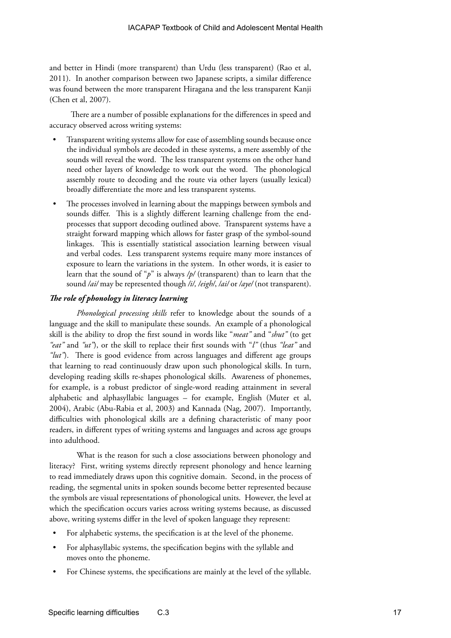and better in Hindi (more transparent) than Urdu (less transparent) (Rao et al, 2011). In another comparison between two Japanese scripts, a similar difference was found between the more transparent Hiragana and the less transparent Kanji (Chen et al, 2007).

There are a number of possible explanations for the differences in speed and accuracy observed across writing systems:

- Transparent writing systems allow for ease of assembling sounds because once the individual symbols are decoded in these systems, a mere assembly of the sounds will reveal the word. The less transparent systems on the other hand need other layers of knowledge to work out the word. The phonological assembly route to decoding and the route via other layers (usually lexical) broadly differentiate the more and less transparent systems.
- The processes involved in learning about the mappings between symbols and sounds differ. This is a slightly different learning challenge from the endprocesses that support decoding outlined above. Transparent systems have a straight forward mapping which allows for faster grasp of the symbol-sound linkages. This is essentially statistical association learning between visual and verbal codes. Less transparent systems require many more instances of exposure to learn the variations in the system. In other words, it is easier to learn that the sound of "*p*" is always */p/* (transparent) than to learn that the sound */ai/* may be represented though */i/, /eigh/*, */ai/* or */aye/* (not transparent).

### *The role of phonology in literacy learning*

*Phonological processing skills* refer to knowledge about the sounds of a language and the skill to manipulate these sounds. An example of a phonological skill is the ability to drop the first sound in words like "*meat"* and "*shut"* (to get *"eat"* and *"ut"*), or the skill to replace their first sounds with "*l"* (thus *"leat"* and *"lut"*). There is good evidence from across languages and different age groups that learning to read continuously draw upon such phonological skills. In turn, developing reading skills re-shapes phonological skills. Awareness of phonemes, for example, is a robust predictor of single-word reading attainment in several alphabetic and alphasyllabic languages – for example, English (Muter et al, 2004), Arabic (Abu-Rabia et al, 2003) and Kannada (Nag, 2007). Importantly, difficulties with phonological skills are a defining characteristic of many poor readers, in different types of writing systems and languages and across age groups into adulthood.

What is the reason for such a close associations between phonology and literacy? First, writing systems directly represent phonology and hence learning to read immediately draws upon this cognitive domain. Second, in the process of reading, the segmental units in spoken sounds become better represented because the symbols are visual representations of phonological units. However, the level at which the specification occurs varies across writing systems because, as discussed above, writing systems differ in the level of spoken language they represent:

- For alphabetic systems, the specification is at the level of the phoneme.
- For alphasyllabic systems, the specification begins with the syllable and moves onto the phoneme.
- For Chinese systems, the specifications are mainly at the level of the syllable.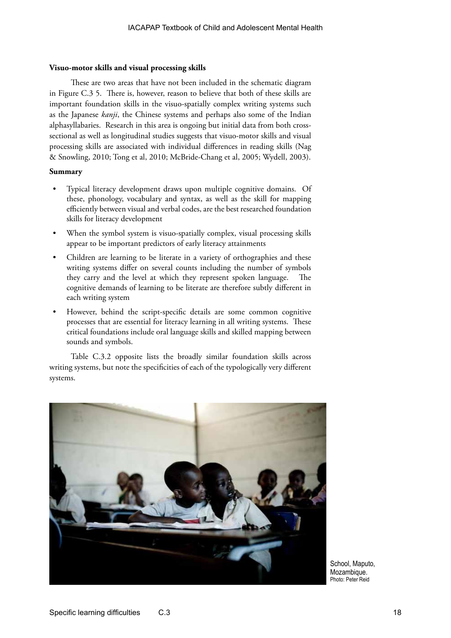### **Visuo-motor skills and visual processing skills**

These are two areas that have not been included in the schematic diagram in Figure C.3 5. There is, however, reason to believe that both of these skills are important foundation skills in the visuo-spatially complex writing systems such as the Japanese *kanji*, the Chinese systems and perhaps also some of the Indian alphasyllabaries. Research in this area is ongoing but initial data from both crosssectional as well as longitudinal studies suggests that visuo-motor skills and visual processing skills are associated with individual differences in reading skills (Nag & Snowling, 2010; Tong et al, 2010; McBride-Chang et al, 2005; Wydell, 2003).

### **Summary**

- Typical literacy development draws upon multiple cognitive domains. Of these, phonology, vocabulary and syntax, as well as the skill for mapping efficiently between visual and verbal codes, are the best researched foundation skills for literacy development
- When the symbol system is visuo-spatially complex, visual processing skills appear to be important predictors of early literacy attainments
- Children are learning to be literate in a variety of orthographies and these writing systems differ on several counts including the number of symbols they carry and the level at which they represent spoken language. The cognitive demands of learning to be literate are therefore subtly different in each writing system
- However, behind the script-specific details are some common cognitive processes that are essential for literacy learning in all writing systems. These critical foundations include oral language skills and skilled mapping between sounds and symbols.

Table C.3.2 opposite lists the broadly similar foundation skills across writing systems, but note the specificities of each of the typologically very different systems.



School, Maputo, Mozambique. Photo: Peter Reid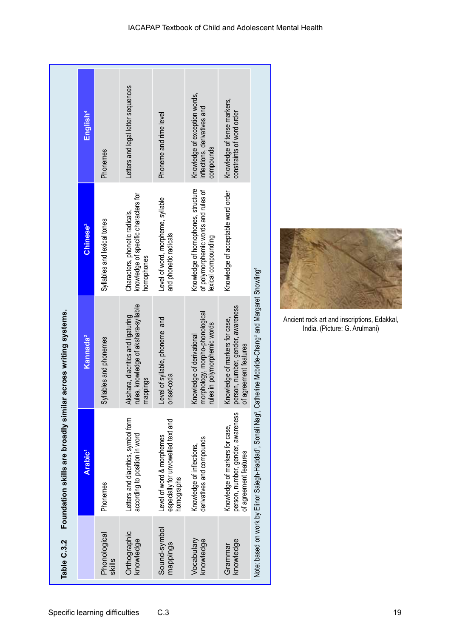|                                      | English <sup>4</sup>       | Phonemes                    | Letters and legal letter sequences                                                    | Phoneme and rime level                                                        | Knowledge of exception words,<br>nflections, derivatives and<br>compounds                        | Knowledge of tense markers,<br>constraints of word order                                     |                                                                                                            |
|--------------------------------------|----------------------------|-----------------------------|---------------------------------------------------------------------------------------|-------------------------------------------------------------------------------|--------------------------------------------------------------------------------------------------|----------------------------------------------------------------------------------------------|------------------------------------------------------------------------------------------------------------|
|                                      | <b>Chinese<sup>3</sup></b> | Syllables and lexical tones | knowledge of specific characters for<br>Characters, phonetic radicals,<br>homophones  | Level of word, morpheme, syllable<br>and phonetic radicals                    | Knowledge of homophones, structure<br>of polymorphemic words and rules of<br>lexical compounding | Knowledge of acceptable word order                                                           |                                                                                                            |
| ir across writing systems.           | Kannada <sup>2</sup>       | Syllables and phonemes      | ules, knowledge of akshara-syllable<br>Akshara, diacritics and ligaturing<br>nappings | evel of syllable, phoneme and<br>onset-coda                                   | norphology, morpho-phonological<br>ules in polymorphemic words<br>(nowledge of derivational      | erson, number, gender, awareness<br>(nowledge of markers for case,<br>of agreement teatures  | Note: based on work by Elinor Saiegh-Haddad', Sonali Nag', Catherine Mcbride-Chang' and Margaret Snowling' |
| Foundation skills are broadly simila | Arabic <sup>1</sup>        | Phonemes                    | Letters and diacritics, symbol form<br>according to position in word                  | especially for unvowelled text and<br>Level of word & morphemes<br>homographs | derivatives and compounds<br>Knowledge of inflections,                                           | person, number, gender, awareness<br>Knowledge of markers for case,<br>of agreement features |                                                                                                            |
| Table C.3.2                          |                            | Phonological<br>skills      | Orthographic<br>knowledge                                                             | Sound-symbol<br>mappings                                                      | Vocabulary<br>knowledge                                                                          | knowledge<br>Grammar                                                                         |                                                                                                            |



Ancient rock art and inscriptions, Edakkal, India. (Picture: G. Arulmani)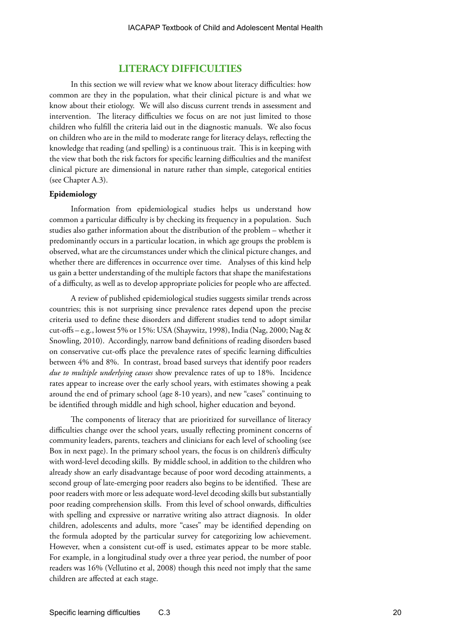### **LITERACY DIFFICULTIES**

In this section we will review what we know about literacy difficulties: how common are they in the population, what their clinical picture is and what we know about their etiology. We will also discuss current trends in assessment and intervention. The literacy difficulties we focus on are not just limited to those children who fulfill the criteria laid out in the diagnostic manuals. We also focus on children who are in the mild to moderate range for literacy delays, reflecting the knowledge that reading (and spelling) is a continuous trait. This is in keeping with the view that both the risk factors for specific learning difficulties and the manifest clinical picture are dimensional in nature rather than simple, categorical entities (see Chapter A.3).

### **Epidemiology**

Information from epidemiological studies helps us understand how common a particular difficulty is by checking its frequency in a population. Such studies also gather information about the distribution of the problem – whether it predominantly occurs in a particular location, in which age groups the problem is observed, what are the circumstances under which the clinical picture changes, and whether there are differences in occurrence over time. Analyses of this kind help us gain a better understanding of the multiple factors that shape the manifestations of a difficulty, as well as to develop appropriate policies for people who are affected.

A review of published epidemiological studies suggests similar trends across countries; this is not surprising since prevalence rates depend upon the precise criteria used to define these disorders and different studies tend to adopt similar cut-offs – e.g., lowest 5% or 15%: USA (Shaywitz, 1998), India (Nag, 2000; Nag & Snowling, 2010). Accordingly, narrow band definitions of reading disorders based on conservative cut-offs place the prevalence rates of specific learning difficulties between 4% and 8%. In contrast, broad based surveys that identify poor readers *due to multiple underlying causes* show prevalence rates of up to 18%. Incidence rates appear to increase over the early school years, with estimates showing a peak around the end of primary school (age 8-10 years), and new "cases" continuing to be identified through middle and high school, higher education and beyond.

The components of literacy that are prioritized for surveillance of literacy difficulties change over the school years, usually reflecting prominent concerns of community leaders, parents, teachers and clinicians for each level of schooling (see Box in next page). In the primary school years, the focus is on children's difficulty with word-level decoding skills. By middle school, in addition to the children who already show an early disadvantage because of poor word decoding attainments, a second group of late-emerging poor readers also begins to be identified. These are poor readers with more or less adequate word-level decoding skills but substantially poor reading comprehension skills. From this level of school onwards, difficulties with spelling and expressive or narrative writing also attract diagnosis. In older children, adolescents and adults, more "cases" may be identified depending on the formula adopted by the particular survey for categorizing low achievement. However, when a consistent cut-off is used, estimates appear to be more stable. For example, in a longitudinal study over a three year period, the number of poor readers was 16% (Vellutino et al, 2008) though this need not imply that the same children are affected at each stage.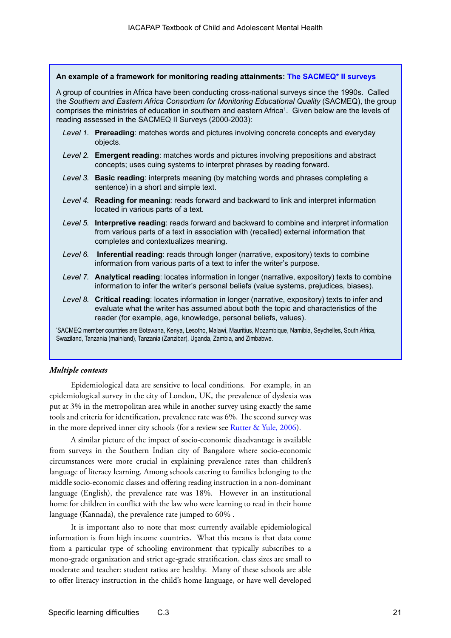| An example of a framework for monitoring reading attainments: The SACMEQ* II surveys                                                                                                                           |                                                                                                                                                                                                                                                                                                                                                                                        |  |  |  |  |
|----------------------------------------------------------------------------------------------------------------------------------------------------------------------------------------------------------------|----------------------------------------------------------------------------------------------------------------------------------------------------------------------------------------------------------------------------------------------------------------------------------------------------------------------------------------------------------------------------------------|--|--|--|--|
|                                                                                                                                                                                                                | A group of countries in Africa have been conducting cross-national surveys since the 1990s. Called<br>the Southern and Eastern Africa Consortium for Monitoring Educational Quality (SACMEQ), the group<br>comprises the ministries of education in southern and eastern Africa <sup>1</sup> . Given below are the levels of<br>reading assessed in the SACMEQ II Surveys (2000-2003): |  |  |  |  |
|                                                                                                                                                                                                                | Level 1. Prereading: matches words and pictures involving concrete concepts and everyday<br>objects.                                                                                                                                                                                                                                                                                   |  |  |  |  |
|                                                                                                                                                                                                                | Level 2. Emergent reading: matches words and pictures involving prepositions and abstract<br>concepts; uses cuing systems to interpret phrases by reading forward.                                                                                                                                                                                                                     |  |  |  |  |
|                                                                                                                                                                                                                | Level 3. Basic reading: interprets meaning (by matching words and phrases completing a<br>sentence) in a short and simple text.                                                                                                                                                                                                                                                        |  |  |  |  |
|                                                                                                                                                                                                                | Level 4. Reading for meaning: reads forward and backward to link and interpret information<br>located in various parts of a text.                                                                                                                                                                                                                                                      |  |  |  |  |
|                                                                                                                                                                                                                | Level 5. Interpretive reading: reads forward and backward to combine and interpret information<br>from various parts of a text in association with (recalled) external information that<br>completes and contextualizes meaning.                                                                                                                                                       |  |  |  |  |
| Level 6.                                                                                                                                                                                                       | Inferential reading: reads through longer (narrative, expository) texts to combine<br>information from various parts of a text to infer the writer's purpose.                                                                                                                                                                                                                          |  |  |  |  |
|                                                                                                                                                                                                                | Level 7. Analytical reading: locates information in longer (narrative, expository) texts to combine<br>information to infer the writer's personal beliefs (value systems, prejudices, biases).                                                                                                                                                                                         |  |  |  |  |
| Level 8.                                                                                                                                                                                                       | Critical reading: locates information in longer (narrative, expository) texts to infer and<br>evaluate what the writer has assumed about both the topic and characteristics of the<br>reader (for example, age, knowledge, personal beliefs, values).                                                                                                                                  |  |  |  |  |
| 'SACMEQ member countries are Botswana, Kenya, Lesotho, Malawi, Mauritius, Mozambique, Namibia, Seychelles, South Africa,<br>Swaziland, Tanzania (mainland), Tanzania (Zanzibar), Uganda, Zambia, and Zimbabwe. |                                                                                                                                                                                                                                                                                                                                                                                        |  |  |  |  |

### *Multiple contexts*

Epidemiological data are sensitive to local conditions. For example, in an epidemiological survey in the city of London, UK, the prevalence of dyslexia was put at 3% in the metropolitan area while in another survey using exactly the same tools and criteria for identification, prevalence rate was 6%. The second survey was in the more deprived inner city schools (for a review see [Rutter & Yule, 2006](http://www.wiley.com/bw/vi.asp?ref=0021-9630&site=1#436)).

A similar picture of the impact of socio-economic disadvantage is available from surveys in the Southern Indian city of Bangalore where socio-economic circumstances were more crucial in explaining prevalence rates than children's language of literacy learning. Among schools catering to families belonging to the middle socio-economic classes and offering reading instruction in a non-dominant language (English), the prevalence rate was 18%. However in an institutional home for children in conflict with the law who were learning to read in their home language (Kannada), the prevalence rate jumped to 60% .

It is important also to note that most currently available epidemiological information is from high income countries. What this means is that data come from a particular type of schooling environment that typically subscribes to a mono-grade organization and strict age-grade stratification, class sizes are small to moderate and teacher: student ratios are healthy. Many of these schools are able to offer literacy instruction in the child's home language, or have well developed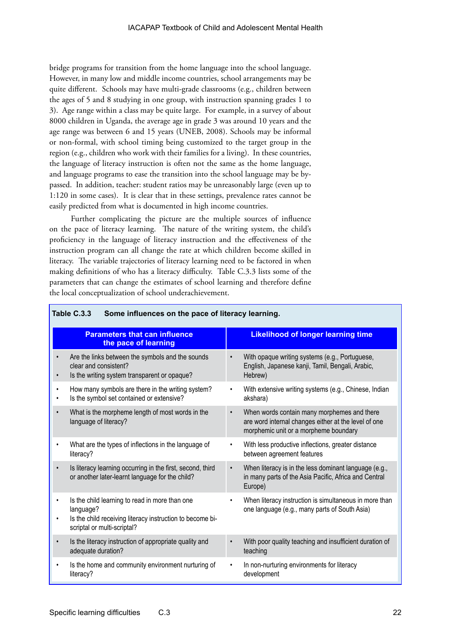bridge programs for transition from the home language into the school language. However, in many low and middle income countries, school arrangements may be quite different. Schools may have multi-grade classrooms (e.g., children between the ages of 5 and 8 studying in one group, with instruction spanning grades 1 to 3). Age range within a class may be quite large. For example, in a survey of about 8000 children in Uganda, the average age in grade 3 was around 10 years and the age range was between 6 and 15 years (UNEB, 2008). Schools may be informal or non-formal, with school timing being customized to the target group in the region (e.g., children who work with their families for a living). In these countries, the language of literacy instruction is often not the same as the home language, and language programs to ease the transition into the school language may be bypassed. In addition, teacher: student ratios may be unreasonably large (even up to 1:120 in some cases). It is clear that in these settings, prevalence rates cannot be easily predicted from what is documented in high income countries.

Further complicating the picture are the multiple sources of influence on the pace of literacy learning. The nature of the writing system, the child's proficiency in the language of literacy instruction and the effectiveness of the instruction program can all change the rate at which children become skilled in literacy. The variable trajectories of literacy learning need to be factored in when making definitions of who has a literacy difficulty. Table C.3.3 lists some of the parameters that can change the estimates of school learning and therefore define the local conceptualization of school underachievement.

|           | <b>Parameters that can influence</b><br>the pace of learning                                                                                            |           | <b>Likelihood of longer learning time</b>                                                                                                    |
|-----------|---------------------------------------------------------------------------------------------------------------------------------------------------------|-----------|----------------------------------------------------------------------------------------------------------------------------------------------|
|           | Are the links between the symbols and the sounds<br>clear and consistent?<br>Is the writing system transparent or opaque?                               |           | With opaque writing systems (e.g., Portuguese,<br>English, Japanese kanji, Tamil, Bengali, Arabic,<br>Hebrew)                                |
|           | How many symbols are there in the writing system?<br>Is the symbol set contained or extensive?                                                          |           | With extensive writing systems (e.g., Chinese, Indian<br>akshara)                                                                            |
| $\bullet$ | What is the morpheme length of most words in the<br>language of literacy?                                                                               | $\bullet$ | When words contain many morphemes and there<br>are word internal changes either at the level of one<br>morphemic unit or a morpheme boundary |
|           | What are the types of inflections in the language of<br>literacy?                                                                                       |           | With less productive inflections, greater distance<br>between agreement features                                                             |
|           | Is literacy learning occurring in the first, second, third<br>or another later-learnt language for the child?                                           | $\bullet$ | When literacy is in the less dominant language (e.g.,<br>in many parts of the Asia Pacific, Africa and Central<br>Europe)                    |
| $\bullet$ | Is the child learning to read in more than one<br>language?<br>Is the child receiving literacy instruction to become bi-<br>scriptal or multi-scriptal? |           | When literacy instruction is simultaneous in more than<br>one language (e.g., many parts of South Asia)                                      |
| $\bullet$ | Is the literacy instruction of appropriate quality and<br>adequate duration?                                                                            |           | With poor quality teaching and insufficient duration of<br>teaching                                                                          |
| $\bullet$ | Is the home and community environment nurturing of<br>literacy?                                                                                         |           | In non-nurturing environments for literacy<br>development                                                                                    |
|           |                                                                                                                                                         |           |                                                                                                                                              |

### **Table C.3.3 Some influences on the pace of literacy learning.**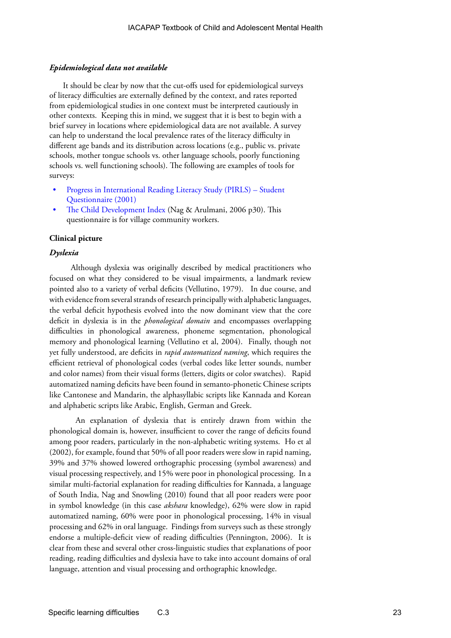### *Epidemiological data not available*

It should be clear by now that the cut-offs used for epidemiological surveys of literacy difficulties are externally defined by the context, and rates reported from epidemiological studies in one context must be interpreted cautiously in other contexts. Keeping this in mind, we suggest that it is best to begin with a brief survey in locations where epidemiological data are not available. A survey can help to understand the local prevalence rates of the literacy difficulty in different age bands and its distribution across locations (e.g., public vs. private schools, mother tongue schools vs. other language schools, poorly functioning schools vs. well functioning schools). The following are examples of tools for surveys:

- [Progress in International Reading Literacy Study \(PIRLS\) Student](http://wbgfiles.worldbank.org/documents/hdn/ed/readings/Question/Q_Student_Pr/ReadingStudentQInterPIRLS_2001_.pdf)  [Questionnaire \(2001\)](http://wbgfiles.worldbank.org/documents/hdn/ed/readings/Question/Q_Student_Pr/ReadingStudentQInterPIRLS_2001_.pdf)
- [The Child Development Index](http://www.thepromisefoundation.org/VCWEnglish.pdf ) (Nag & Arulmani, 2006 p30). This questionnaire is for village community workers.

#### **Clinical picture**

### *Dyslexia*

Although dyslexia was originally described by medical practitioners who focused on what they considered to be visual impairments, a landmark review pointed also to a variety of verbal deficits (Vellutino, 1979). In due course, and with evidence from several strands of research principally with alphabetic languages, the verbal deficit hypothesis evolved into the now dominant view that the core deficit in dyslexia is in the *phonological domain* and encompasses overlapping difficulties in phonological awareness, phoneme segmentation, phonological memory and phonological learning (Vellutino et al, 2004). Finally, though not yet fully understood, are deficits in *rapid automatized naming*, which requires the efficient retrieval of phonological codes (verbal codes like letter sounds, number and color names) from their visual forms (letters, digits or color swatches). Rapid automatized naming deficits have been found in semanto-phonetic Chinese scripts like Cantonese and Mandarin, the alphasyllabic scripts like Kannada and Korean and alphabetic scripts like Arabic, English, German and Greek.

 An explanation of dyslexia that is entirely drawn from within the phonological domain is, however, insufficient to cover the range of deficits found among poor readers, particularly in the non-alphabetic writing systems. Ho et al (2002), for example, found that 50% of all poor readers were slow in rapid naming, 39% and 37% showed lowered orthographic processing (symbol awareness) and visual processing respectively, and 15% were poor in phonological processing. In a similar multi-factorial explanation for reading difficulties for Kannada, a language of South India, Nag and Snowling (2010) found that all poor readers were poor in symbol knowledge (in this case *akshara* knowledge), 62% were slow in rapid automatized naming, 60% were poor in phonological processing, 14% in visual processing and 62% in oral language. Findings from surveys such as these strongly endorse a multiple-deficit view of reading difficulties (Pennington, 2006). It is clear from these and several other cross-linguistic studies that explanations of poor reading, reading difficulties and dyslexia have to take into account domains of oral language, attention and visual processing and orthographic knowledge.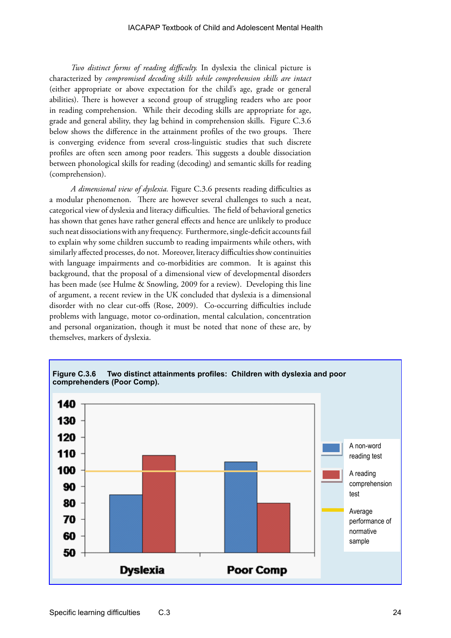*Two distinct forms of reading difficulty.* In dyslexia the clinical picture is characterized by *compromised decoding skills while comprehension skills are intact* (either appropriate or above expectation for the child's age, grade or general abilities). There is however a second group of struggling readers who are poor in reading comprehension. While their decoding skills are appropriate for age, grade and general ability, they lag behind in comprehension skills. Figure C.3.6 below shows the difference in the attainment profiles of the two groups. There is converging evidence from several cross-linguistic studies that such discrete profiles are often seen among poor readers. This suggests a double dissociation between phonological skills for reading (decoding) and semantic skills for reading (comprehension).

*A dimensional view of dyslexia.* Figure C.3.6 presents reading difficulties as a modular phenomenon. There are however several challenges to such a neat, categorical view of dyslexia and literacy difficulties. The field of behavioral genetics has shown that genes have rather general effects and hence are unlikely to produce such neat dissociations with any frequency. Furthermore, single-deficit accounts fail to explain why some children succumb to reading impairments while others, with similarly affected processes, do not. Moreover, literacy difficulties show continuities with language impairments and co-morbidities are common. It is against this background, that the proposal of a dimensional view of developmental disorders has been made (see Hulme & Snowling, 2009 for a review). Developing this line of argument, a recent review in the UK concluded that dyslexia is a dimensional disorder with no clear cut-offs (Rose, 2009). Co-occurring difficulties include problems with language, motor co-ordination, mental calculation, concentration and personal organization, though it must be noted that none of these are, by themselves, markers of dyslexia.

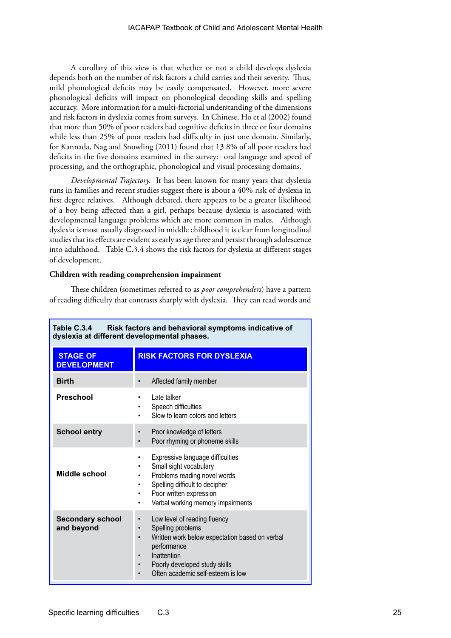A corollary of this view is that whether or not a child develops dyslexia depends both on the number of risk factors a child carries and their severity. Thus, mild phonological deficits may be easily compensated. However, more severe phonological deficits will impact on phonological decoding skills and spelling accuracy. More information for a multi-factorial understanding of the dimensions and risk factors in dyslexia comes from surveys. In Chinese, Ho et al (2002) found that more than 50% of poor readers had cognitive deficits in three or four domains while less than 25% of poor readers had difficulty in just one domain. Similarly, for Kannada, Nag and Snowling (2011) found that 13.8% of all poor readers had deficits in the five domains examined in the survey: oral language and speed of processing, and the orthographic, phonological and visual processing domains.

*Developmental Trajectory.*It has been known for many years that dyslexia runs in families and recent studies suggest there is about a 40% risk of dyslexia in first degree relatives. Although debated, there appears to be a greater likelihood of a boy being affected than a girl, perhaps because dyslexia is associated with developmental language problems which are more common in males. Although dyslexia is most usually diagnosed in middle childhood it is clear from longitudinal studies that its effects are evident as early as age three and persist through adolescence into adulthood. Table C.3.4 shows the risk factors for dyslexia at different stages of development.

### **Children with reading comprehension impairment**

These children (sometimes referred to as *poor comprehenders*) have a pattern of reading difficulty that contrasts sharply with dyslexia. They can read words and

| Table C.3.4<br>Risk factors and behavioral symptoms indicative of<br>dyslexia at different developmental phases. |                                                                                                                                                                                                                                                                                       |  |  |  |
|------------------------------------------------------------------------------------------------------------------|---------------------------------------------------------------------------------------------------------------------------------------------------------------------------------------------------------------------------------------------------------------------------------------|--|--|--|
| <b>STAGE OF</b><br><b>DEVELOPMENT</b>                                                                            | <b>RISK FACTORS FOR DYSLEXIA</b>                                                                                                                                                                                                                                                      |  |  |  |
| <b>Birth</b>                                                                                                     | Affected family member                                                                                                                                                                                                                                                                |  |  |  |
| <b>Preschool</b>                                                                                                 | Late talker<br>Speech difficulties<br>٠<br>Slow to learn colors and letters<br>٠                                                                                                                                                                                                      |  |  |  |
| <b>School entry</b>                                                                                              | Poor knowledge of letters<br>$\bullet$<br>Poor rhyming or phoneme skills                                                                                                                                                                                                              |  |  |  |
| Middle school                                                                                                    | Expressive language difficulties<br>٠<br>Small sight vocabulary<br>٠<br>Problems reading novel words<br>٠<br>Spelling difficult to decipher<br>٠<br>Poor written expression<br>٠<br>Verbal working memory impairments<br>٠                                                            |  |  |  |
| <b>Secondary school</b><br>and beyond                                                                            | Low level of reading fluency<br>$\bullet$<br>Spelling problems<br>$\bullet$<br>Written work below expectation based on verbal<br>$\bullet$<br>performance<br>Inattention<br>$\bullet$<br>Poorly developed study skills<br>$\bullet$<br>Often academic self-esteem is low<br>$\bullet$ |  |  |  |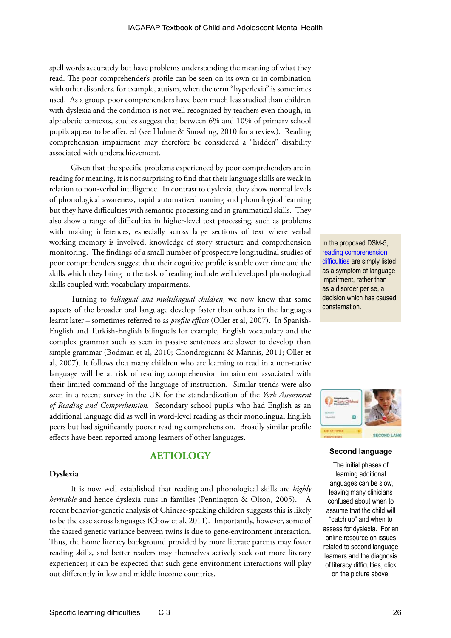spell words accurately but have problems understanding the meaning of what they read. The poor comprehender's profile can be seen on its own or in combination with other disorders, for example, autism, when the term "hyperlexia" is sometimes used. As a group, poor comprehenders have been much less studied than children with dyslexia and the condition is not well recognized by teachers even though, in alphabetic contexts, studies suggest that between 6% and 10% of primary school pupils appear to be affected (see Hulme & Snowling, 2010 for a review). Reading comprehension impairment may therefore be considered a "hidden" disability associated with underachievement.

Given that the specific problems experienced by poor comprehenders are in reading for meaning, it is not surprising to find that their language skills are weak in relation to non-verbal intelligence. In contrast to dyslexia, they show normal levels of phonological awareness, rapid automatized naming and phonological learning but they have difficulties with semantic processing and in grammatical skills. They also show a range of difficulties in higher-level text processing, such as problems with making inferences, especially across large sections of text where verbal working memory is involved, knowledge of story structure and comprehension monitoring. The findings of a small number of prospective longitudinal studies of poor comprehenders suggest that their cognitive profile is stable over time and the skills which they bring to the task of reading include well developed phonological skills coupled with vocabulary impairments.

Turning to *bilingual and multilingual children*, we now know that some aspects of the broader oral language develop faster than others in the languages learnt later – sometimes referred to as *profile effects* (Oller et al, 2007). In Spanish-English and Turkish-English bilinguals for example, English vocabulary and the complex grammar such as seen in passive sentences are slower to develop than simple grammar (Bodman et al, 2010; Chondrogianni & Marinis, 2011; Oller et al, 2007). It follows that many children who are learning to read in a non-native language will be at risk of reading comprehension impairment associated with their limited command of the language of instruction. Similar trends were also seen in a recent survey in the UK for the standardization of the *York Assessment of Reading and Comprehension.* Secondary school pupils who had English as an additional language did as well in word-level reading as their monolingual English peers but had significantly poorer reading comprehension. Broadly similar profile effects have been reported among learners of other languages.

### **AETIOLOGY**

### **Dyslexia**

It is now well established that reading and phonological skills are *highly heritable* and hence dyslexia runs in families (Pennington & Olson, 2005). A recent behavior-genetic analysis of Chinese-speaking children suggests this is likely to be the case across languages (Chow et al, 2011). Importantly, however, some of the shared genetic variance between twins is due to gene-environment interaction. Thus, the home literacy background provided by more literate parents may foster reading skills, and better readers may themselves actively seek out more literary experiences; it can be expected that such gene-environment interactions will play out differently in low and middle income countries.

In the proposed DSM-5, [reading comprehension](http://www.texasldcenter.org/research/files/dsm5-fletcheretal.pdf)  [difficulties a](http://www.texasldcenter.org/research/files/dsm5-fletcheretal.pdf)re simply listed as a symptom of language impairment, rather than as a disorder per se, a decision which has caused consternation.



### **Second language**

The initial phases of learning additional languages can be slow, leaving many clinicians confused about when to assume that the child will "catch up" and when to assess for dyslexia. For an online resource on issues related to second language learners and the diagnosis of literacy difficulties, click on the picture above.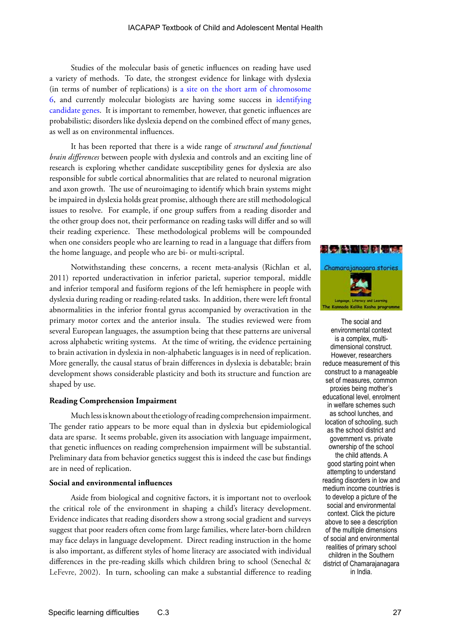Studies of the molecular basis of genetic influences on reading have used a variety of methods. To date, the strongest evidence for linkage with dyslexia (in terms of number of replications) is [a site on the short arm of chromosome](http://en.wikipedia.org/wiki/Dyslexia)  [6,](http://en.wikipedia.org/wiki/Dyslexia) and currently molecular biologists are having some success in [identifying](http://www.well.ox.ac.uk/oct-08-potential-dyslexia-gene)  [candidate genes](http://www.well.ox.ac.uk/oct-08-potential-dyslexia-gene). It is important to remember, however, that genetic influences are probabilistic; disorders like dyslexia depend on the combined effect of many genes, as well as on environmental influences.

It has been reported that there is a wide range of *structural and functional brain differences* between people with dyslexia and controls and an exciting line of research is exploring whether candidate susceptibility genes for dyslexia are also responsible for subtle cortical abnormalities that are related to neuronal migration and axon growth. The use of neuroimaging to identify which brain systems might be impaired in dyslexia holds great promise, although there are still methodological issues to resolve. For example, if one group suffers from a reading disorder and the other group does not, their performance on reading tasks will differ and so will their reading experience. These methodological problems will be compounded when one considers people who are learning to read in a language that differs from the home language, and people who are bi- or multi-scriptal.

Notwithstanding these concerns, a recent meta-analysis (Richlan et al, 2011) reported underactivation in inferior parietal, superior temporal, middle and inferior temporal and fusiform regions of the left hemisphere in people with dyslexia during reading or reading-related tasks. In addition, there were left frontal abnormalities in the inferior frontal gyrus accompanied by overactivation in the primary motor cortex and the anterior insula. The studies reviewed were from several European languages, the assumption being that these patterns are universal across alphabetic writing systems. At the time of writing, the evidence pertaining to brain activation in dyslexia in non-alphabetic languages is in need of replication. More generally, the causal status of brain differences in dyslexia is debatable; brain development shows considerable plasticity and both its structure and function are shaped by use.

### **Reading Comprehension Impairment**

Much less is known about the etiology of reading comprehension impairment. The gender ratio appears to be more equal than in dyslexia but epidemiological data are sparse. It seems probable, given its association with language impairment, that genetic influences on reading comprehension impairment will be substantial. Preliminary data from behavior genetics suggest this is indeed the case but findings are in need of replication.

#### **Social and environmental influences**

Aside from biological and cognitive factors, it is important not to overlook the critical role of the environment in shaping a child's literacy development. Evidence indicates that reading disorders show a strong social gradient and surveys suggest that poor readers often come from large families, where later-born children may face delays in language development. Direct reading instruction in the home is also important, as different styles of home literacy are associated with individual differences in the pre-reading skills which children bring to school (Senechal & LeFevre, 2002). In turn, schooling can make a substantial difference to reading



The social and environmental context is a complex, multidimensional construct. However, researchers reduce measurement of this construct to a manageable set of measures, common proxies being mother's educational level, enrolment in welfare schemes such as school lunches, and location of schooling, such as the school district and government vs. private ownership of the school the child attends. A good starting point when attempting to understand reading disorders in low and medium income countries is to develop a picture of the social and environmental context. Click the picture above to see a description of the multiple dimensions of social and environmental realities of primary school children in the Southern district of Chamarajanagara in India.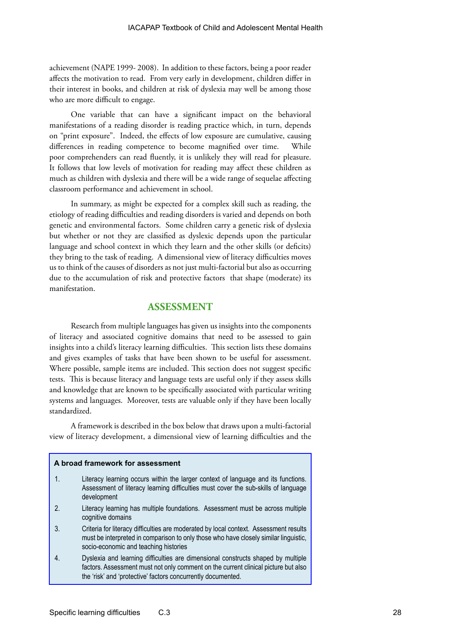achievement (NAPE 1999- 2008). In addition to these factors, being a poor reader affects the motivation to read. From very early in development, children differ in their interest in books, and children at risk of dyslexia may well be among those who are more difficult to engage.

One variable that can have a significant impact on the behavioral manifestations of a reading disorder is reading practice which, in turn, depends on "print exposure". Indeed, the effects of low exposure are cumulative, causing differences in reading competence to become magnified over time. While poor comprehenders can read fluently, it is unlikely they will read for pleasure. It follows that low levels of motivation for reading may affect these children as much as children with dyslexia and there will be a wide range of sequelae affecting classroom performance and achievement in school.

In summary, as might be expected for a complex skill such as reading, the etiology of reading difficulties and reading disorders is varied and depends on both genetic and environmental factors. Some children carry a genetic risk of dyslexia but whether or not they are classified as dyslexic depends upon the particular language and school context in which they learn and the other skills (or deficits) they bring to the task of reading. A dimensional view of literacy difficulties moves us to think of the causes of disorders as not just multi-factorial but also as occurring due to the accumulation of risk and protective factors that shape (moderate) its manifestation.

### **ASSESSMENT**

Research from multiple languages has given us insights into the components of literacy and associated cognitive domains that need to be assessed to gain insights into a child's literacy learning difficulties. This section lists these domains and gives examples of tasks that have been shown to be useful for assessment. Where possible, sample items are included. This section does not suggest specific tests. This is because literacy and language tests are useful only if they assess skills and knowledge that are known to be specifically associated with particular writing systems and languages. Moreover, tests are valuable only if they have been locally standardized.

A framework is described in the box below that draws upon a multi-factorial view of literacy development, a dimensional view of learning difficulties and the

### **A broad framework for assessment**

- 1. Literacy learning occurs within the larger context of language and its functions. Assessment of literacy learning difficulties must cover the sub-skills of language development
- 2. Literacy learning has multiple foundations. Assessment must be across multiple cognitive domains
- 3. Criteria for literacy difficulties are moderated by local context. Assessment results must be interpreted in comparison to only those who have closely similar linguistic, socio-economic and teaching histories
- 4. Dyslexia and learning difficulties are dimensional constructs shaped by multiple factors. Assessment must not only comment on the current clinical picture but also the 'risk' and 'protective' factors concurrently documented.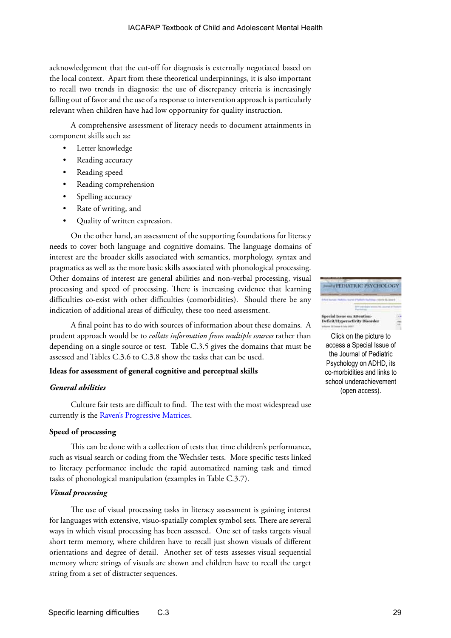acknowledgement that the cut-off for diagnosis is externally negotiated based on the local context. Apart from these theoretical underpinnings, it is also important to recall two trends in diagnosis: the use of discrepancy criteria is increasingly falling out of favor and the use of a response to intervention approach is particularly relevant when children have had low opportunity for quality instruction.

A comprehensive assessment of literacy needs to document attainments in component skills such as:

- Letter knowledge
- Reading accuracy
- Reading speed
- Reading comprehension
- Spelling accuracy
- Rate of writing, and
- Quality of written expression.

On the other hand, an assessment of the supporting foundations for literacy needs to cover both language and cognitive domains. The language domains of interest are the broader skills associated with semantics, morphology, syntax and pragmatics as well as the more basic skills associated with phonological processing. Other domains of interest are general abilities and non-verbal processing, visual processing and speed of processing. There is increasing evidence that learning difficulties co-exist with other difficulties (comorbidities). Should there be any indication of additional areas of difficulty, these too need assessment.

A final point has to do with sources of information about these domains. A prudent approach would be to *collate information from multiple sources* rather than depending on a single source or test. Table C.3.5 gives the domains that must be assessed and Tables C.3.6 to C.3.8 show the tasks that can be used.

### **Ideas for assessment of general cognitive and perceptual skills**

### *General abilities*

Culture fair tests are difficult to find. The test with the most widespread use currently is the [Raven's Progressive Matrices.](http://www.raventest.net/)

### **Speed of processing**

This can be done with a collection of tests that time children's performance, such as visual search or coding from the Wechsler tests. More specific tests linked to literacy performance include the rapid automatized naming task and timed tasks of phonological manipulation (examples in Table C.3.7).

### *Visual processing*

The use of visual processing tasks in literacy assessment is gaining interest for languages with extensive, visuo-spatially complex symbol sets. There are several ways in which visual processing has been assessed. One set of tasks targets visual short term memory, where children have to recall just shown visuals of different orientations and degree of detail. Another set of tests assesses visual sequential memory where strings of visuals are shown and children have to recall the target string from a set of distracter sequences.



Click on the picture to access a Special Issue of the Journal of Pediatric Psychology on ADHD, its co-morbidities and links to school underachievement (open access).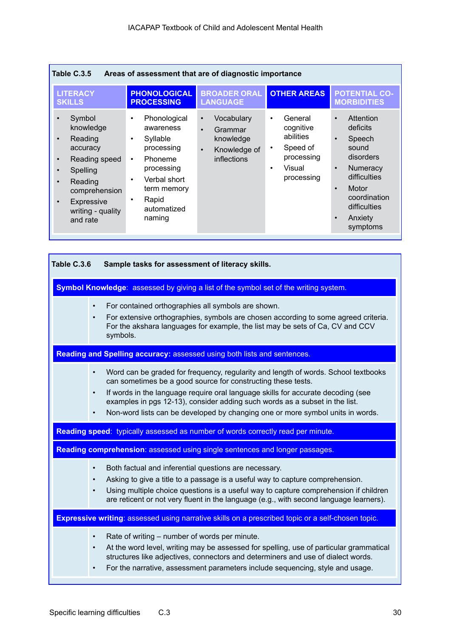| Table C.3.5<br>Areas of assessment that are of diagnostic importance                                                                                                                      |                                                                                                                                                                                                        |                                                                                                          |                                                                                                                            |                                                                                                                                                                                                 |  |  |
|-------------------------------------------------------------------------------------------------------------------------------------------------------------------------------------------|--------------------------------------------------------------------------------------------------------------------------------------------------------------------------------------------------------|----------------------------------------------------------------------------------------------------------|----------------------------------------------------------------------------------------------------------------------------|-------------------------------------------------------------------------------------------------------------------------------------------------------------------------------------------------|--|--|
| <b>LITERACY</b><br><b>SKILLS</b>                                                                                                                                                          | <b>PHONOLOGICAL</b><br><b>PROCESSING</b>                                                                                                                                                               | <b>BROADER ORAL</b><br><b>LANGUAGE</b>                                                                   | <b>OTHER AREAS</b>                                                                                                         | <b>POTENTIAL CO-</b><br><b>MORBIDITIES</b>                                                                                                                                                      |  |  |
| Symbol<br>knowledge<br>Reading<br>$\bullet$<br>accuracy<br>Reading speed<br>$\bullet$<br>Spelling<br>Reading<br>comprehension<br>Expressive<br>$\bullet$<br>writing - quality<br>and rate | Phonological<br>$\bullet$<br>awareness<br>Syllable<br>$\bullet$<br>processing<br>Phoneme<br>$\bullet$<br>processing<br>Verbal short<br>$\bullet$<br>term memory<br>Rapid<br>٠<br>automatized<br>naming | Vocabulary<br>$\bullet$<br>Grammar<br>$\bullet$<br>knowledge<br>Knowledge of<br>$\bullet$<br>inflections | General<br>$\bullet$<br>cognitive<br>abilities<br>Speed of<br>$\bullet$<br>processing<br>Visual<br>$\bullet$<br>processing | Attention<br>$\bullet$<br>deficits<br>Speech<br>sound<br>disorders<br><b>Numeracy</b><br>$\bullet$<br>difficulties<br>Motor<br>$\bullet$<br>coordination<br>difficulties<br>Anxiety<br>symptoms |  |  |

| Table C.3.6 | Sample tasks for assessment of literacy skills.                                                                                                                                                                                                                                                                                                                                                                                                |  |  |  |  |  |
|-------------|------------------------------------------------------------------------------------------------------------------------------------------------------------------------------------------------------------------------------------------------------------------------------------------------------------------------------------------------------------------------------------------------------------------------------------------------|--|--|--|--|--|
|             | Symbol Knowledge: assessed by giving a list of the symbol set of the writing system.                                                                                                                                                                                                                                                                                                                                                           |  |  |  |  |  |
|             | For contained orthographies all symbols are shown.<br>$\bullet$<br>For extensive orthographies, symbols are chosen according to some agreed criteria.<br>$\bullet$<br>For the akshara languages for example, the list may be sets of Ca, CV and CCV<br>symbols.                                                                                                                                                                                |  |  |  |  |  |
|             | Reading and Spelling accuracy: assessed using both lists and sentences.                                                                                                                                                                                                                                                                                                                                                                        |  |  |  |  |  |
|             | Word can be graded for frequency, regularity and length of words. School textbooks<br>$\bullet$<br>can sometimes be a good source for constructing these tests.<br>If words in the language require oral language skills for accurate decoding (see<br>$\bullet$<br>examples in pgs 12-13), consider adding such words as a subset in the list.<br>Non-word lists can be developed by changing one or more symbol units in words.<br>$\bullet$ |  |  |  |  |  |
|             | Reading speed: typically assessed as number of words correctly read per minute.                                                                                                                                                                                                                                                                                                                                                                |  |  |  |  |  |
|             | Reading comprehension: assessed using single sentences and longer passages.                                                                                                                                                                                                                                                                                                                                                                    |  |  |  |  |  |
|             | Both factual and inferential questions are necessary.<br>$\bullet$<br>Asking to give a title to a passage is a useful way to capture comprehension.<br>$\bullet$<br>Using multiple choice questions is a useful way to capture comprehension if children<br>$\bullet$<br>are reticent or not very fluent in the language (e.g., with second language learners).                                                                                |  |  |  |  |  |
|             | Expressive writing: assessed using narrative skills on a prescribed topic or a self-chosen topic.                                                                                                                                                                                                                                                                                                                                              |  |  |  |  |  |
|             | Rate of writing – number of words per minute.<br>$\bullet$<br>At the word level, writing may be assessed for spelling, use of particular grammatical<br>$\bullet$<br>structures like adjectives, connectors and determiners and use of dialect words.<br>For the narrative, assessment parameters include sequencing, style and usage.<br>$\bullet$                                                                                            |  |  |  |  |  |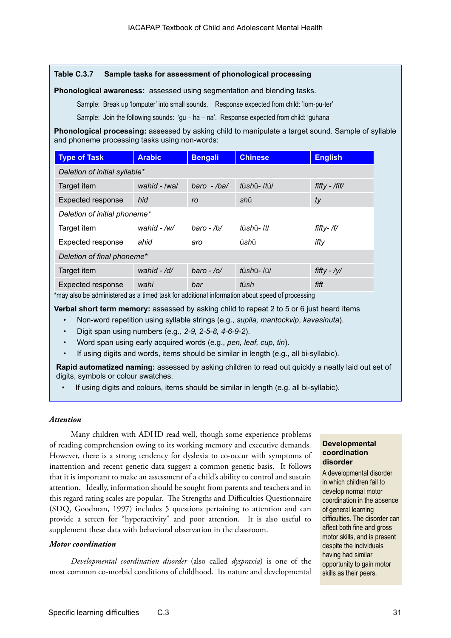### **Table C.3.7 Sample tasks for assessment of phonological processing**

**Phonological awareness:** assessed using segmentation and blending tasks.

Sample: Break up 'lomputer' into small sounds. Response expected from child: 'lom-pu-ter'

Sample: Join the following sounds: 'gu – ha – na'. Response expected from child: 'guhana'

**Phonological processing:** assessed by asking child to manipulate a target sound. Sample of syllable and phoneme processing tasks using non-words:

| <b>Type of Task</b>           | <b>Arabic</b> | <b>Bengali</b>  | <b>Chinese</b> | <b>English</b> |  |
|-------------------------------|---------------|-----------------|----------------|----------------|--|
| Deletion of initial syllable* |               |                 |                |                |  |
| Target item                   | wahid - /wa/  | $baro$ - $/ba/$ | túshū-ltúl     | fifty - /fif/  |  |
| <b>Expected response</b>      | hid           | ro              | shū            | ty             |  |
| Deletion of initial phoneme*  |               |                 |                |                |  |
| Target item                   | wahid - $/w/$ | $baro$ - /b/    | túshū- /t/     | fifty- /f/     |  |
| Expected response             | ahid          | aro             | úshū           | ifty           |  |
| Deletion of final phoneme*    |               |                 |                |                |  |
| Target item                   | wahid $-$ /d/ | $baro - /o/$    | túshū- /ū/     | fifty - $/y/$  |  |
| Expected response             | wahi          | bar             | túsh           | fift           |  |

\*may also be administered as a timed task for additional information about speed of processing

**Verbal short term memory:** assessed by asking child to repeat 2 to 5 or 6 just heard items

- Non-word repetition using syllable strings (e.g., *supila, mantockvip*, *kavasinuta*).
- Digit span using numbers (e.g., *2-9, 2-5-8, 4-6-9-2*).
- Word span using early acquired words (e.g., *pen, leaf, cup, tin*).
- If using digits and words, items should be similar in length (e.g., all bi-syllabic).

**Rapid automatized naming:** assessed by asking children to read out quickly a neatly laid out set of digits, symbols or colour swatches.

If using digits and colours, items should be similar in length (e.g. all bi-syllabic).

### *Attention*

Many children with ADHD read well, though some experience problems of reading comprehension owing to its working memory and executive demands. However, there is a strong tendency for dyslexia to co-occur with symptoms of inattention and recent genetic data suggest a common genetic basis. It follows that it is important to make an assessment of a child's ability to control and sustain attention. Ideally, information should be sought from parents and teachers and in this regard rating scales are popular. The Strengths and Difficulties Questionnaire (SDQ, Goodman, 1997) includes 5 questions pertaining to attention and can provide a screen for "hyperactivity" and poor attention. It is also useful to supplement these data with behavioral observation in the classroom.

### *Motor coordination*

*Developmental coordination disorder* (also called *dyspraxia*) is one of the most common co-morbid conditions of childhood. Its nature and developmental

### **Developmental coordination disorder**

A developmental disorder in which children fail to develop normal motor coordination in the absence of general learning difficulties. The disorder can affect both fine and gross motor skills, and is present despite the individuals having had similar opportunity to gain motor skills as their peers.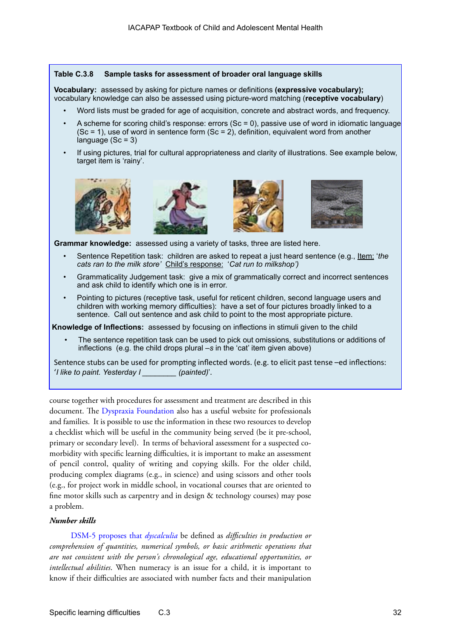### **Table C.3.8 Sample tasks for assessment of broader oral language skills**

**Vocabulary:** assessed by asking for picture names or definitions **(expressive vocabulary);** vocabulary knowledge can also be assessed using picture-word matching (**receptive vocabulary**)

- Word lists must be graded for age of acquisition, concrete and abstract words, and frequency.
- A scheme for scoring child's response: errors  $(Sc = 0)$ , passive use of word in idiomatic language  $(Sc = 1)$ , use of word in sentence form  $(Sc = 2)$ , definition, equivalent word from another language  $(Sc = 3)$
- If using pictures, trial for cultural appropriateness and clarity of illustrations. See example below, target item is 'rainy'.









**Grammar knowledge:** assessed using a variety of tasks, three are listed here.

- Sentence Repetition task: children are asked to repeat a just heard sentence (e.g., Item: '*the cats ran to the milk store'* Child's response: '*Cat run to milkshop')*
- Grammaticality Judgement task: give a mix of grammatically correct and incorrect sentences and ask child to identify which one is in error.
- Pointing to pictures (receptive task, useful for reticent children, second language users and children with working memory difficulties): have a set of four pictures broadly linked to a sentence. Call out sentence and ask child to point to the most appropriate picture.

**Knowledge of Inflections:** assessed by focusing on inflections in stimuli given to the child

• The sentence repetition task can be used to pick out omissions, substitutions or additions of inflections (e.g. the child drops plural *–s* in the 'cat' item given above)

Sentence stubs can be used for prompting inflected words. (e.g. to elicit past tense –ed inflections: '*I like to paint. Yesterday I \_\_\_\_\_\_\_\_ (painted)*'.

course together with procedures for assessment and treatment are described [in this](http://www.mscdevelopmentaldisorders.org/wp-content/uploads/What-is-DCD.pdf)  [document](http://www.mscdevelopmentaldisorders.org/wp-content/uploads/What-is-DCD.pdf). The D[yspraxia Foundation also has a useful website](http://www.dyspraxiafoundation.org.uk/) for professionals and families.It is possible to use the information in these two resources to develop a checklist which will be useful in the community being served (be it pre-school, primary or secondary level). In terms of behavioral assessment for a suspected comorbidity with specific learning difficulties, it is important to make an assessment of pencil control, quality of writing and copying skills. For the older child, producing complex diagrams (e.g., in science) and using scissors and other tools (e.g., for project work in middle school, in vocational courses that are oriented to fine motor skills such as carpentry and in design & technology courses) may pose a problem.

### *Number skills*

[DSM-5 proposes that](http://www.dsm5.org/ProposedRevisions/Pages/proposedrevision.aspx?rid=85) *dyscalculia* be defined as *difficulties in production or comprehension of quantities, numerical symbols, or basic arithmetic operations that are not consistent with the person's chronological age, educational opportunities, or intellectual abilities*. When numeracy is an issue for a child, it is important to know if their difficulties are associated with number facts and their manipulation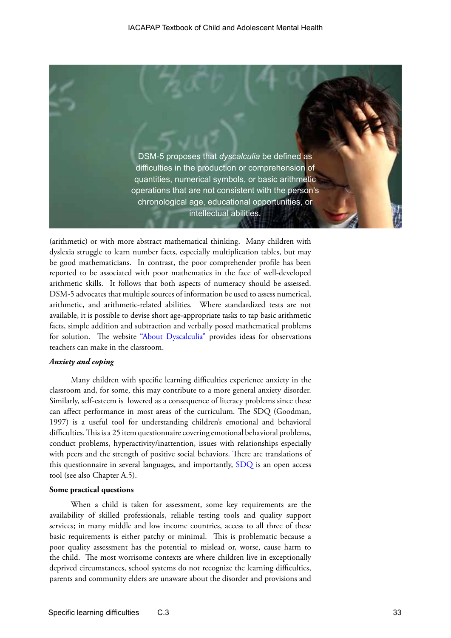

(arithmetic) or with more abstract mathematical thinking. Many children with dyslexia struggle to learn number facts, especially multiplication tables, but may be good mathematicians. In contrast, the poor comprehender profile has been reported to be associated with poor mathematics in the face of well-developed arithmetic skills. It follows that both aspects of numeracy should be assessed. DSM-5 advocates that multiple sources of information be used to assess numerical, arithmetic, and arithmetic-related abilities. Where standardized tests are not available, it is possible to devise short age-appropriate tasks to tap basic arithmetic facts, simple addition and subtraction and verbally posed mathematical problems for solution. The website ["About Dyscalculia"](http://www.aboutdyscalculia.org/) provides ideas for observations teachers can make in the classroom.

### *Anxiety and coping*

Many children with specific learning difficulties experience anxiety in the classroom and, for some, this may contribute to a more general anxiety disorder. Similarly, self-esteem is lowered as a consequence of literacy problems since these can affect performance in most areas of the curriculum. The SDQ (Goodman, 1997) is a useful tool for understanding children's emotional and behavioral difficulties. This is a 25 item questionnaire covering emotional behavioral problems, conduct problems, hyperactivity/inattention, issues with relationships especially with peers and the strength of positive social behaviors. There are translations of this questionnaire in several languages, and importantly, [SDQ](http://www.sdqinfo.com/) is an open access tool (see also Chapter A.5).

#### **Some practical questions**

When a child is taken for assessment, some key requirements are the availability of skilled professionals, reliable testing tools and quality support services; in many middle and low income countries, access to all three of these basic requirements is either patchy or minimal. This is problematic because a poor quality assessment has the potential to mislead or, worse, cause harm to the child. The most worrisome contexts are where children live in exceptionally deprived circumstances, school systems do not recognize the learning difficulties, parents and community elders are unaware about the disorder and provisions and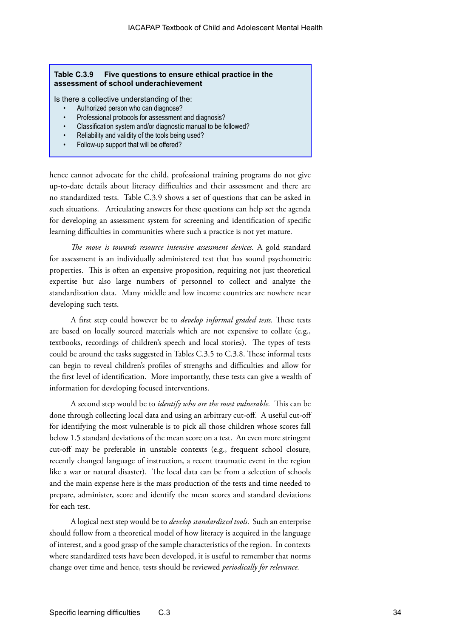### **Table C.3.9 Five questions to ensure ethical practice in the assessment of school underachievement**

Is there a collective understanding of the:

- Authorized person who can diagnose?
- Professional protocols for assessment and diagnosis?
- Classification system and/or diagnostic manual to be followed?
- Reliability and validity of the tools being used?
- Follow-up support that will be offered?

hence cannot advocate for the child, professional training programs do not give up-to-date details about literacy difficulties and their assessment and there are no standardized tests. Table C.3.9 shows a set of questions that can be asked in such situations. Articulating answers for these questions can help set the agenda for developing an assessment system for screening and identification of specific learning difficulties in communities where such a practice is not yet mature.

*The move is towards resource intensive assessment devices.* A gold standard for assessment is an individually administered test that has sound psychometric properties. This is often an expensive proposition, requiring not just theoretical expertise but also large numbers of personnel to collect and analyze the standardization data. Many middle and low income countries are nowhere near developing such tests.

A first step could however be to *develop informal graded tests.* These tests are based on locally sourced materials which are not expensive to collate (e.g., textbooks, recordings of children's speech and local stories). The types of tests could be around the tasks suggested in Tables C.3.5 to C.3.8. These informal tests can begin to reveal children's profiles of strengths and difficulties and allow for the first level of identification. More importantly, these tests can give a wealth of information for developing focused interventions.

A second step would be to *identify who are the most vulnerable.* This can be done through collecting local data and using an arbitrary cut-off. A useful cut-off for identifying the most vulnerable is to pick all those children whose scores fall below 1.5 standard deviations of the mean score on a test. An even more stringent cut-off may be preferable in unstable contexts (e.g., frequent school closure, recently changed language of instruction, a recent traumatic event in the region like a war or natural disaster). The local data can be from a selection of schools and the main expense here is the mass production of the tests and time needed to prepare, administer, score and identify the mean scores and standard deviations for each test.

A logical next step would be to *develop standardized tools*. Such an enterprise should follow from a theoretical model of how literacy is acquired in the language of interest, and a good grasp of the sample characteristics of the region. In contexts where standardized tests have been developed, it is useful to remember that norms change over time and hence, tests should be reviewed *periodically for relevance.*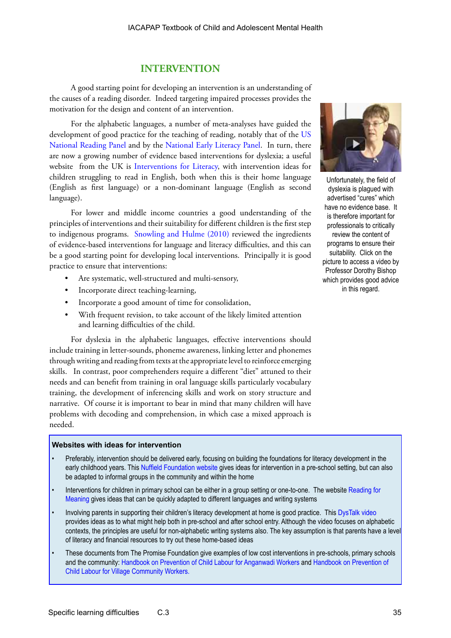### **INTERVENTION**

A good starting point for developing an intervention is an understanding of the causes of a reading disorder. Indeed targeting impaired processes provides the motivation for the design and content of an intervention.

For the alphabetic languages, a number of meta-analyses have guided the development of good practice for the teaching of reading, notably that of the [US](http://www.nationalreadingpanel.org/default.htm)  [National Reading Panel](http://www.nationalreadingpanel.org/default.htm) and by the [National Early Literacy Panel.](http://lincs.ed.gov/publications/pdf/NELPSummary.pdf) In turn, there are now a growing number of evidence based interventions for dyslexia; a useful website from the UK is [Interventions for Literacy](http://www.interventionsforliteracy.org.uk/schools/), with intervention ideas for children struggling to read in English, both when this is their home language (English as first language) or a non-dominant language (English as second language).

For lower and middle income countries a good understanding of the principles of interventions and their suitability for different children is the first step to indigenous programs. [Snowling and Hulme \(2010\)](http://onlinelibrary.wiley.com/doi/10.1111/j.2044-8279.2010.02014.x/pdf) reviewed the ingredients of evidence-based interventions for language and literacy difficulties, and this can be a good starting point for developing local interventions. Principally it is good practice to ensure that interventions:

- Are systematic, well-structured and multi-sensory,
- Incorporate direct teaching-learning,
- Incorporate a good amount of time for consolidation,
- With frequent revision, to take account of the likely limited attention and learning difficulties of the child.

For dyslexia in the alphabetic languages, effective interventions should include training in letter-sounds, phoneme awareness, linking letter and phonemes through writing and reading from texts at the appropriate level to reinforce emerging skills. In contrast, poor comprehenders require a different "diet" attuned to their needs and can benefit from training in oral language skills particularly vocabulary training, the development of inferencing skills and work on story structure and narrative. Of course it is important to bear in mind that many children will have problems with decoding and comprehension, in which case a mixed approach is needed.

### **Websites with ideas for intervention**

- Preferably, intervention should be delivered early, focusing on building the foundations for literacy development in the early childhood years. This [Nuffield Foundation website](http://www.nuffieldfoundation.org/language4reading-preschool-training-oral-language-skills) gives ideas for intervention in a pre-school setting, but can also be adapted to informal groups in the community and within the home
- Interventions for children in primary school can be either in a group setting or one-to-one. The website [Reading for](http://readingformeaning.co.uk/)  [Meaning](http://readingformeaning.co.uk/) gives ideas that can be quickly adapted to different languages and writing systems
- Involving parents in supporting their children's literacy development at home is good practice. This [DysTalk video](http://www.dystalk.com/talks/105-dyslexia-support-amp-intervention)  provides ideas as to what might help both in pre-school and after school entry. Although the video focuses on alphabetic contexts, the principles are useful for non-alphabetic writing systems also. The key assumption is that parents have a level of literacy and financial resources to try out these home-based ideas
- These documents from The Promise Foundation give examples of low cost interventions in pre-schools, primary schools and the community: [Handbook on Prevention of Child Labour for Anganwadi Workers](http://www.thepromisefoundation.org/AWWEnglish.pdf) and [Handbook on Prevention of](http://www.thepromisefoundation.org/VCWEnglish.pdf)  [Child Labour for Village Community Workers](http://www.thepromisefoundation.org/VCWEnglish.pdf).



Unfortunately, the field of dyslexia is plagued with advertised "cures" which have no evidence base. It is therefore important for professionals to critically review the content of programs to ensure their suitability. Click on the picture to access a video by Professor Dorothy Bishop which provides good advice in this regard.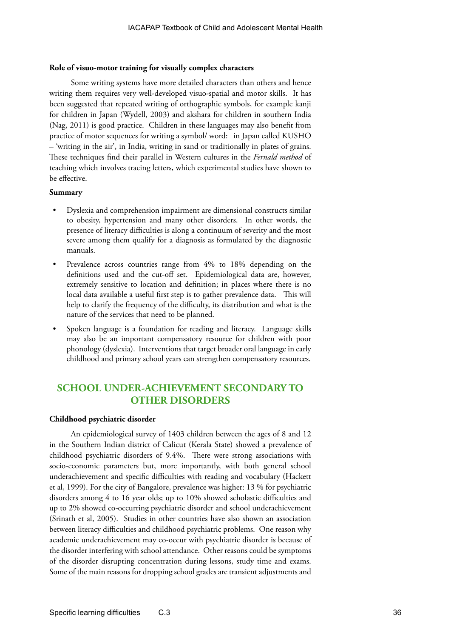### **Role of visuo-motor training for visually complex characters**

Some writing systems have more detailed characters than others and hence writing them requires very well-developed visuo-spatial and motor skills. It has been suggested that repeated writing of orthographic symbols, for example kanji for children in Japan (Wydell, 2003) and akshara for children in southern India (Nag, 2011) is good practice. Children in these languages may also benefit from practice of motor sequences for writing a symbol/ word: in Japan called KUSHO – 'writing in the air', in India, writing in sand or traditionally in plates of grains. These techniques find their parallel in Western cultures in the *Fernald method* of teaching which involves tracing letters, which experimental studies have shown to be effective.

### **Summary**

- Dyslexia and comprehension impairment are dimensional constructs similar to obesity, hypertension and many other disorders. In other words, the presence of literacy difficulties is along a continuum of severity and the most severe among them qualify for a diagnosis as formulated by the diagnostic manuals.
- Prevalence across countries range from 4% to 18% depending on the definitions used and the cut-off set. Epidemiological data are, however, extremely sensitive to location and definition; in places where there is no local data available a useful first step is to gather prevalence data. This will help to clarify the frequency of the difficulty, its distribution and what is the nature of the services that need to be planned.
- Spoken language is a foundation for reading and literacy. Language skills may also be an important compensatory resource for children with poor phonology (dyslexia). Interventions that target broader oral language in early childhood and primary school years can strengthen compensatory resources.

### **SCHOOL UNDER-ACHIEVEMENT SECONDARY TO OTHER DISORDERS**

### **Childhood psychiatric disorder**

An epidemiological survey of 1403 children between the ages of 8 and 12 in the Southern Indian district of Calicut (Kerala State) showed a prevalence of childhood psychiatric disorders of 9.4%. There were strong associations with socio-economic parameters but, more importantly, with both general school underachievement and specific difficulties with reading and vocabulary (Hackett et al, 1999). For the city of Bangalore, prevalence was higher: 13 % for psychiatric disorders among 4 to 16 year olds; up to 10% showed scholastic difficulties and up to 2% showed co-occurring psychiatric disorder and school underachievement (Srinath et al, 2005). Studies in other countries have also shown an association between literacy difficulties and childhood psychiatric problems. One reason why academic underachievement may co-occur with psychiatric disorder is because of the disorder interfering with school attendance. Other reasons could be symptoms of the disorder disrupting concentration during lessons, study time and exams. Some of the main reasons for dropping school grades are transient adjustments and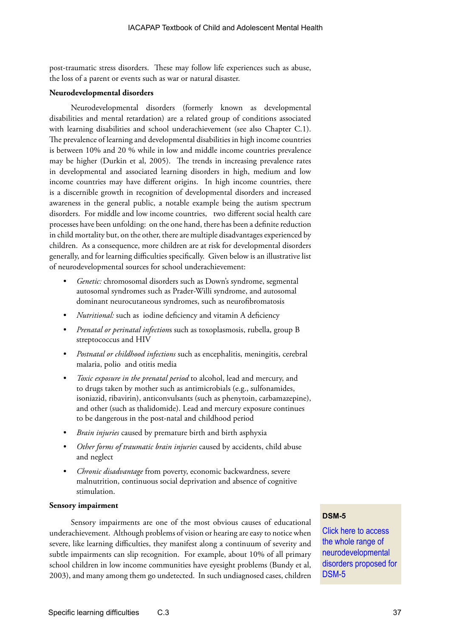post-traumatic stress disorders. These may follow life experiences such as abuse, the loss of a parent or events such as war or natural disaster.

### **Neurodevelopmental disorders**

Neurodevelopmental disorders (formerly known as developmental disabilities and mental retardation) are a related group of conditions associated with learning disabilities and school underachievement (see also Chapter C.1). The prevalence of learning and developmental disabilities in high income countries is between 10% and 20 % while in low and middle income countries prevalence may be higher (Durkin et al, 2005). The trends in increasing prevalence rates in developmental and associated learning disorders in high, medium and low income countries may have different origins. In high income countries, there is a discernible growth in recognition of developmental disorders and increased awareness in the general public, a notable example being the autism spectrum disorders. For middle and low income countries, two different social health care processes have been unfolding: on the one hand, there has been a definite reduction in child mortality but, on the other, there are multiple disadvantages experienced by children. As a consequence, more children are at risk for developmental disorders generally, and for learning difficulties specifically. Given below is an illustrative list of neurodevelopmental sources for school underachievement:

- *• Genetic:* chromosomal disorders such as Down's syndrome, segmental autosomal syndromes such as Prader-Willi syndrome, and autosomal dominant neurocutaneous syndromes, such as neurofibromatosis
- *• Nutritional:* such as iodine deficiency and vitamin A deficiency
- *• Prenatal or perinatal infection*s such as toxoplasmosis, rubella, group B streptococcus and HIV
- *• Postnatal or childhood infections* such as encephalitis, meningitis, cerebral malaria, polio and otitis media
- *• Toxic exposure in the prenatal period* to alcohol, lead and mercury, and to drugs taken by mother such as antimicrobials (e.g., sulfonamides, isoniazid, ribavirin), anticonvulsants (such as phenytoin, carbamazepine), and other (such as thalidomide). Lead and mercury exposure continues to be dangerous in the post-natal and childhood period
- *• Brain injuries* caused by premature birth and birth asphyxia
- *• Other forms of traumatic brain injuries* caused by accidents, child abuse and neglect
- *• Chronic disadvantage* from poverty, economic backwardness, severe malnutrition, continuous social deprivation and absence of cognitive stimulation.

### **Sensory impairment**

Sensory impairments are one of the most obvious causes of educational underachievement. Although problems of vision or hearing are easy to notice when severe, like learning difficulties, they manifest along a continuum of severity and subtle impairments can slip recognition. For example, about 10% of all primary school children in low income communities have eyesight problems (Bundy et al, 2003), and many among them go undetected. In such undiagnosed cases, children

### **DSM-5**

[Click here to access]( http://www.dsm5.org/proposedrevision/Pages/NeurodevelopmentalDisorders.aspx	)  [the whole range of]( http://www.dsm5.org/proposedrevision/Pages/NeurodevelopmentalDisorders.aspx	)  [neurodevelopmental]( http://www.dsm5.org/proposedrevision/Pages/NeurodevelopmentalDisorders.aspx	)  [disorders proposed for]( http://www.dsm5.org/proposedrevision/Pages/NeurodevelopmentalDisorders.aspx	)  [DSM-5]( http://www.dsm5.org/proposedrevision/Pages/NeurodevelopmentalDisorders.aspx	)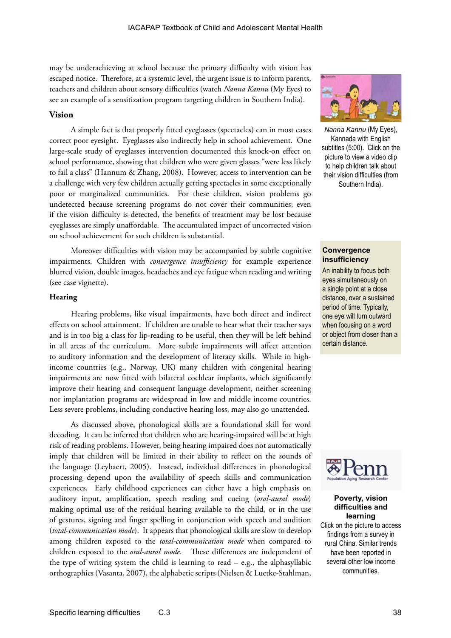may be underachieving at school because the primary difficulty with vision has escaped notice. Therefore, at a systemic level, the urgent issue is to inform parents, teachers and children about sensory difficulties (watch *Nanna Kannu* (My Eyes) to see an example of a sensitization program targeting children in Southern India).

### **Vision**

A simple fact is that properly fitted eyeglasses (spectacles) can in most cases correct poor eyesight. Eyeglasses also indirectly help in school achievement. One large-scale study of eyeglasses intervention documented this knock-on effect on school performance, showing that children who were given glasses "were less likely to fail a class" (Hannum & Zhang, 2008). However, access to intervention can be a challenge with very few children actually getting spectacles in some exceptionally poor or marginalized communities. For these children, vision problems go undetected because screening programs do not cover their communities; even if the vision difficulty is detected, the benefits of treatment may be lost because eyeglasses are simply unaffordable. The accumulated impact of uncorrected vision on school achievement for such children is substantial.

Moreover difficulties with vision may be accompanied by subtle cognitive impairments. Children with *convergence insufficiency* for example experience blurred vision, double images, headaches and eye fatigue when reading and writing (see case vignette).

### **Hearing**

Hearing problems, like visual impairments, have both direct and indirect effects on school attainment. If children are unable to hear what their teacher says and is in too big a class for lip-reading to be useful, then they will be left behind in all areas of the curriculum. More subtle impairments will affect attention to auditory information and the development of literacy skills. While in highincome countries (e.g., Norway, UK) many children with congenital hearing impairments are now fitted with bilateral cochlear implants, which significantly improve their hearing and consequent language development, neither screening nor implantation programs are widespread in low and middle income countries. Less severe problems, including conductive hearing loss, may also go unattended.

As discussed above, phonological skills are a foundational skill for word decoding. It can be inferred that children who are hearing-impaired will be at high risk of reading problems. However, being hearing impaired does not automatically imply that children will be limited in their ability to reflect on the sounds of the language (Leybaert, 2005). Instead, individual differences in phonological processing depend upon the availability of speech skills and communication experiences. Early childhood experiences can either have a high emphasis on auditory input, amplification, speech reading and cueing (*oral-aural mode*) making optimal use of the residual hearing available to the child, or in the use of gestures, signing and finger spelling in conjunction with speech and audition (*total-communication mode*). It appears that phonological skills are slow to develop among children exposed to the *total-communication mode* when compared to children exposed to the *oral-aural mode*. These differences are independent of the type of writing system the child is learning to read – e.g., the alphasyllabic orthographies (Vasanta, 2007), the alphabetic scripts (Nielsen & Luetke-Stahlman,



*Nanna Kannu* (My Eyes), Kannada with English subtitles (5:00). Click on the picture to view a video clip to help children talk about their vision difficulties (from Southern India).

### **Convergence insufficiency**

An inability to focus both eyes simultaneously on a single point at a close distance, over a sustained period of time. Typically, one eye will turn outward when focusing on a word or object from closer than a certain distance.



### **Poverty, vision difficulties and learning**

Click on the picture to access findings from a survey in rural China. Similar trends have been reported in several other low income communities.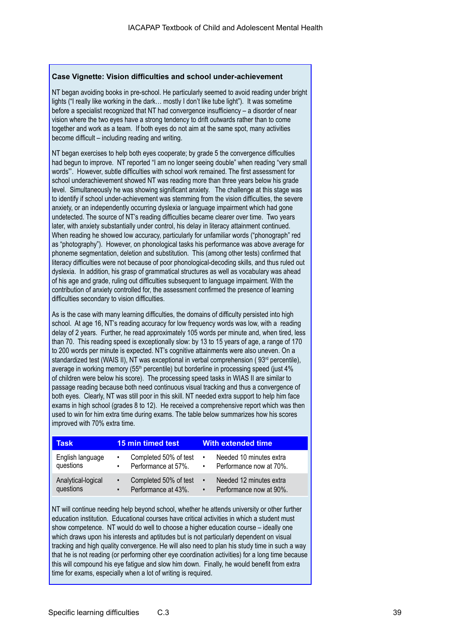### **Case Vignette: Vision difficulties and school under-achievement**

NT began avoiding books in pre-school. He particularly seemed to avoid reading under bright lights ("I really like working in the dark… mostly I don't like tube light"). It was sometime before a specialist recognized that NT had convergence insufficiency – a disorder of near vision where the two eyes have a strong tendency to drift outwards rather than to come together and work as a team. If both eyes do not aim at the same spot, many activities become difficult – including reading and writing.

NT began exercises to help both eyes cooperate; by grade 5 the convergence difficulties had begun to improve. NT reported "I am no longer seeing double" when reading "very small words"'. However, subtle difficulties with school work remained. The first assessment for school underachievement showed NT was reading more than three years below his grade level. Simultaneously he was showing significant anxiety. The challenge at this stage was to identify if school under-achievement was stemming from the vision difficulties, the severe anxiety, or an independently occurring dyslexia or language impairment which had gone undetected. The source of NT's reading difficulties became clearer over time. Two years later, with anxiety substantially under control, his delay in literacy attainment continued. When reading he showed low accuracy, particularly for unfamiliar words ("phonograph" red as "photography"). However, on phonological tasks his performance was above average for phoneme segmentation, deletion and substitution. This (among other tests) confirmed that literacy difficulties were not because of poor phonological-decoding skills, and thus ruled out dyslexia. In addition, his grasp of grammatical structures as well as vocabulary was ahead of his age and grade, ruling out difficulties subsequent to language impairment. With the contribution of anxiety controlled for, the assessment confirmed the presence of learning difficulties secondary to vision difficulties.

As is the case with many learning difficulties, the domains of difficulty persisted into high school. At age 16, NT's reading accuracy for low frequency words was low, with a reading delay of 2 years. Further, he read approximately 105 words per minute and, when tired, less than 70. This reading speed is exceptionally slow: by 13 to 15 years of age, a range of 170 to 200 words per minute is expected. NT's cognitive attainments were also uneven. On a standardized test (WAIS II), NT was exceptional in verbal comprehension (93<sup>rd</sup> percentile), average in working memory (55<sup>th</sup> percentile) but borderline in processing speed (just 4% of children were below his score). The processing speed tasks in WIAS II are similar to passage reading because both need continuous visual tracking and thus a convergence of both eyes. Clearly, NT was still poor in this skill. NT needed extra support to help him face exams in high school (grades 8 to 12). He received a comprehensive report which was then used to win for him extra time during exams. The table below summarizes how his scores improved with 70% extra time.

| Task                            | <b>15 min timed test</b>                                               | <b>With extended time</b>                                                    |
|---------------------------------|------------------------------------------------------------------------|------------------------------------------------------------------------------|
| English language<br>questions   | Completed 50% of test<br>$\bullet$<br>Performance at 57%.<br>$\bullet$ | Needed 10 minutes extra<br>$\bullet$<br>Performance now at 70%.<br>$\bullet$ |
| Analytical-logical<br>questions | Completed 50% of test<br>Performance at 43%.<br>$\bullet$              | Needed 12 minutes extra<br>$\bullet$<br>Performance now at 90%.<br>$\bullet$ |

NT will continue needing help beyond school, whether he attends university or other further education institution. Educational courses have critical activities in which a student must show competence. NT would do well to choose a higher education course – ideally one which draws upon his interests and aptitudes but is not particularly dependent on visual tracking and high quality convergence. He will also need to plan his study time in such a way that he is not reading (or performing other eye coordination activities) for a long time because this will compound his eye fatigue and slow him down. Finally, he would benefit from extra time for exams, especially when a lot of writing is required.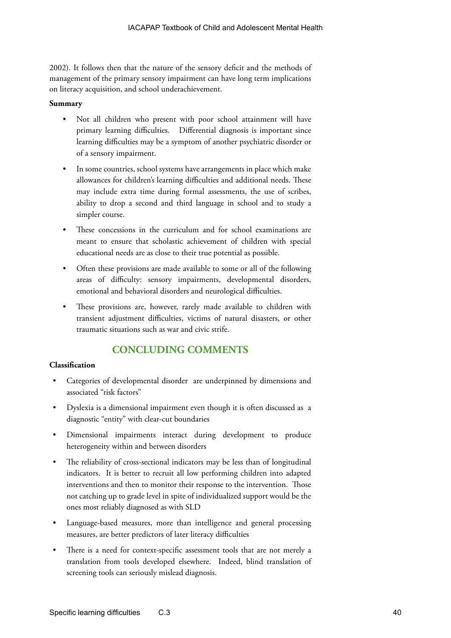2002). It follows then that the nature of the sensory deficit and the methods of management of the primary sensory impairment can have long term implications on literacy acquisition, and school underachievement.

### **Summary**

- Not all children who present with poor school attainment will have primary learning difficulties. Differential diagnosis is important since learning difficulties may be a symptom of another psychiatric disorder or of a sensory impairment.
- In some countries, school systems have arrangements in place which make allowances for children's learning difficulties and additional needs. These may include extra time during formal assessments, the use of scribes, ability to drop a second and third language in school and to study a simpler course.
- These concessions in the curriculum and for school examinations are meant to ensure that scholastic achievement of children with special educational needs are as close to their true potential as possible.
- Often these provisions are made available to some or all of the following areas of difficulty: sensory impairments, developmental disorders, emotional and behavioral disorders and neurological difficulties.
- These provisions are, however, rarely made available to children with transient adjustment difficulties, victims of natural disasters, or other traumatic situations such as war and civic strife.

### **CONCLUDING COMMENTS**

### **Classification**

- Categories of developmental disorder are underpinned by dimensions and associated "risk factors"
- Dyslexia is a dimensional impairment even though it is often discussed as a diagnostic "entity" with clear-cut boundaries
- Dimensional impairments interact during development to produce heterogeneity within and between disorders
- The reliability of cross-sectional indicators may be less than of longitudinal indicators. It is better to recruit all low performing children into adapted interventions and then to monitor their response to the intervention. Those not catching up to grade level in spite of individualized support would be the ones most reliably diagnosed as with SLD
- Language-based measures, more than intelligence and general processing measures, are better predictors of later literacy difficulties
- There is a need for context-specific assessment tools that are not merely a translation from tools developed elsewhere. Indeed, blind translation of screening tools can seriously mislead diagnosis.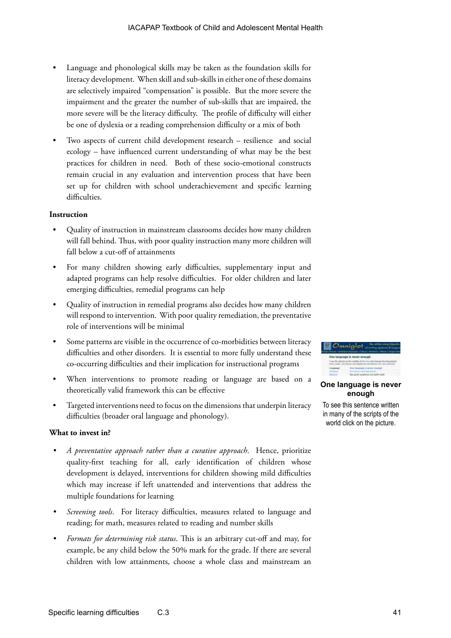- Language and phonological skills may be taken as the foundation skills for literacy development. When skill and sub-skills in either one of these domains are selectively impaired "compensation" is possible. But the more severe the impairment and the greater the number of sub-skills that are impaired, the more severe will be the literacy difficulty. The profile of difficulty will either be one of dyslexia or a reading comprehension difficulty or a mix of both
- Two aspects of current child development research resilience and social ecology – have influenced current understanding of what may be the best practices for children in need. Both of these socio-emotional constructs remain crucial in any evaluation and intervention process that have been set up for children with school underachievement and specific learning difficulties.

### **Instruction**

- Quality of instruction in mainstream classrooms decides how many children will fall behind. Thus, with poor quality instruction many more children will fall below a cut-off of attainments
- For many children showing early difficulties, supplementary input and adapted programs can help resolve difficulties. For older children and later emerging difficulties, remedial programs can help
- Quality of instruction in remedial programs also decides how many children will respond to intervention. With poor quality remediation, the preventative role of interventions will be minimal
- Some patterns are visible in the occurrence of co-morbidities between literacy difficulties and other disorders. It is essential to more fully understand these co-occurring difficulties and their implication for instructional programs
- When interventions to promote reading or language are based on a theoretically valid framework this can be effective
- Targeted interventions need to focus on the dimensions that underpin literacy difficulties (broader oral language and phonology).

### **What to invest in?**

- *• A preventative approach rather than a curative approach*. Hence, prioritize quality-first teaching for all, early identification of children whose development is delayed, interventions for children showing mild difficulties which may increase if left unattended and interventions that address the multiple foundations for learning
- *Screening tools.* For literacy difficulties, measures related to language and reading; for math, measures related to reading and number skills
- *• Formats for determining risk status*. This is an arbitrary cut-off and may, for example, be any child below the 50% mark for the grade. If there are several children with low attainments, choose a whole class and mainstream an



### **One language is never enough**

To see this sentence written in many of the scripts of the world click on the picture.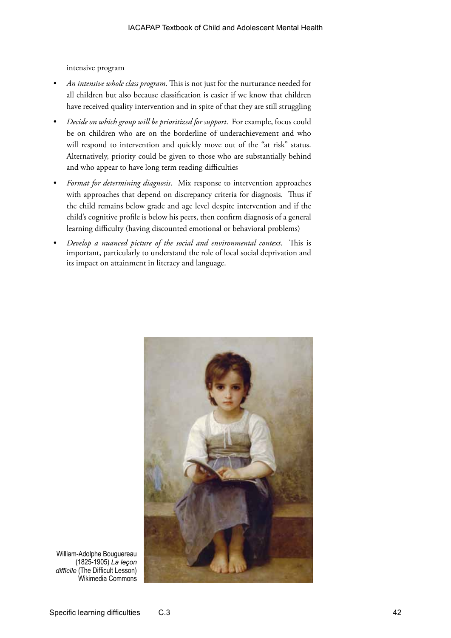intensive program

- *• An intensive whole class program*. This is not just for the nurturance needed for all children but also because classification is easier if we know that children have received quality intervention and in spite of that they are still struggling
- *• Decide on which group will be prioritized for support*. For example, focus could be on children who are on the borderline of underachievement and who will respond to intervention and quickly move out of the "at risk" status. Alternatively, priority could be given to those who are substantially behind and who appear to have long term reading difficulties
- *• Format for determining diagnosis*. Mix response to intervention approaches with approaches that depend on discrepancy criteria for diagnosis. Thus if the child remains below grade and age level despite intervention and if the child's cognitive profile is below his peers, then confirm diagnosis of a general learning difficulty (having discounted emotional or behavioral problems)
- *• Develop a nuanced picture of the social and environmental context*. This is important, particularly to understand the role of local social deprivation and its impact on attainment in literacy and language.



William-Adolphe Bouguereau (1825-1905) *La leçon difficile* (The Difficult Lesson) Wikimedia Commons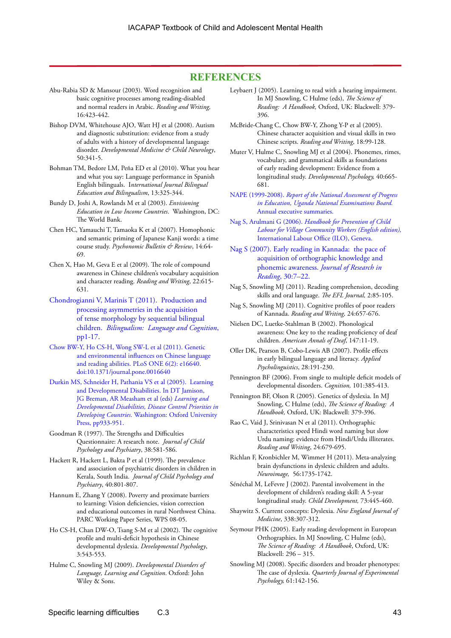### **REFERENCES**

- Abu-Rabia SD & Mansour (2003). Word recognition and basic cognitive processes among reading-disabled and normal readers in Arabic. *Reading and Writing,* 16:423-442.
- Bishop DVM, Whitehouse AJO, Watt HJ et al (2008). Autism and diagnostic substitution: evidence from a study of adults with a history of developmental language disorder. *Developmental Medicine & Child Neurology*, 50:341-5.
- Bohman TM, Bedore LM, Peña ED et al (2010). What you hear and what you say: Language performance in Spanish English bilinguals. I*nternational Journal Bilingual Education and Bilingualism*, 13:325-344.
- Bundy D, Joshi A, Rowlands M et al (2003). *Envisioning Education in Low Income Countries*. Washington, DC: The World Bank.
- Chen HC, Yamauchi T, Tamaoka K et al (2007). Homophonic and semantic priming of Japanese Kanji words: a time course study. *Psychonomic Bulletin & Review*, 14:64- 69.
- Chen X, Hao M, Geva E et al (2009). The role of compound awareness in Chinese children's vocabulary acquisition and character reading. *Reading and Writing*, 22:615- 631.
- [Chondrogianni V, Marinis T \(2011\). Production and](www.ru.nl/publish/pages/641672/chondrogianni_marinis_11.pdf)  [processing asymmetries in the acquisition](www.ru.nl/publish/pages/641672/chondrogianni_marinis_11.pdf)  [of tense morphology by sequential bilingual](www.ru.nl/publish/pages/641672/chondrogianni_marinis_11.pdf)  children. *[Bilingualism: Language and Cognition](www.ru.nl/publish/pages/641672/chondrogianni_marinis_11.pdf)*, [pp1-17.](www.ru.nl/publish/pages/641672/chondrogianni_marinis_11.pdf)
- [Chow BW-Y, Ho CS-H, Wong SW-L et al \(2011\). Genetic](http://www.plosone.org/article/info%3Adoi%2F10.1371%2Fjournal.pone.0016640;jsessionid=CCD0BF7122F1596B57BDE9479E9994A4)  [and environmental influences on Chinese language](http://www.plosone.org/article/info%3Adoi%2F10.1371%2Fjournal.pone.0016640;jsessionid=CCD0BF7122F1596B57BDE9479E9994A4)  [and reading abilities. PLoS ONE 6\(2\): e16640.](http://www.plosone.org/article/info%3Adoi%2F10.1371%2Fjournal.pone.0016640;jsessionid=CCD0BF7122F1596B57BDE9479E9994A4)  [doi:10.1371/journal.pone.0016640](http://www.plosone.org/article/info%3Adoi%2F10.1371%2Fjournal.pone.0016640;jsessionid=CCD0BF7122F1596B57BDE9479E9994A4)
- [Durkin MS, Schneider H, Pathania VS et al \(2005\). Learning](http://files.dcp2.org/pdf/DCP/DCP.pdf)  [and Developmental Disabilities. In DT Jamison,](http://files.dcp2.org/pdf/DCP/DCP.pdf)  [JG Breman, AR Measham et al \(eds\)](http://files.dcp2.org/pdf/DCP/DCP.pdf) *Learning and [Developmental Disabilities, Disease Control Priorities in](http://files.dcp2.org/pdf/DCP/DCP.pdf)  Developing Countries*[. Washington: Oxford University](http://files.dcp2.org/pdf/DCP/DCP.pdf)  [Press, pp933-951.](http://files.dcp2.org/pdf/DCP/DCP.pdf)
- Goodman R (1997). The Strengths and Difficulties Questionnaire: A research note. *Journal of Child Psychology and Psychiatry*, 38:581-586.
- Hackett R, Hackett L, Bakta P et al (1999). The prevalence and association of psychiatric disorders in children in Kerala, South India. *Journal of Child Psychology and Psychiatry*, 40:801-807.
- Hannum E, Zhang Y (2008). Poverty and proximate barriers to learning: Vision deficiencies, vision correction and educational outcomes in rural Northwest China. PARC Working Paper Series, WPS 08-05.
- Ho CS-H, Chan DW-O, Tsang S-M et al (2002). The cognitive profile and multi-deficit hypothesis in Chinese developmental dyslexia. *Developmental Psychology*, 3:543-553.
- Hulme C, Snowling MJ (2009). *Developmental Disorders of Language, Learning and Cognition*. Oxford: John Wiley & Sons.
- Leybaert J (2005). Learning to read with a hearing impairment. In MJ Snowling, C Hulme (eds), *The Science of Reading: A Handbook,* Oxford, UK: Blackwell: 379- 396.
- McBride-Chang C, Chow BW-Y, Zhong Y-P et al (2005). Chinese character acquisition and visual skills in two Chinese scripts. *Reading and Writing*, 18:99-128.
- Muter V, Hulme C, Snowling MJ et al (2004). Phonemes, rimes, vocabulary, and grammatical skills as foundations of early reading development: Evidence from a longitudinal study. *Developmental Psychology,* 40:665- 681.
- NAPE (1999-2008). *[Report of the National Assessment of Progress](http://www.uneb.ac.ug/Admin/images/NAPE%20WEBSITE%20INFO.docx)  [in Education, Uganda National Examinations Board.](http://www.uneb.ac.ug/Admin/images/NAPE%20WEBSITE%20INFO.docx)* [Annual executive summaries.](http://www.uneb.ac.ug/Admin/images/NAPE%20WEBSITE%20INFO.docx)
- Nag S, Arulmani G (2006). *[Handbook for Prevention of Child](http://www.thepromisefoundation.org/VCWEnglish.pdf)  [Labour for Village Community Workers \(English edition\),](http://www.thepromisefoundation.org/VCWEnglish.pdf)*  [International Labour Office \(ILO\), Geneva.](http://www.thepromisefoundation.org/VCWEnglish.pdf)
- [Nag S \(2007\). Early reading in Kannada: the pace of](http://www.thepromisefoundation.org/TPFEKR.pdf)  [acquisition of orthographic knowledge and](http://www.thepromisefoundation.org/TPFEKR.pdf)  [phonemic awareness.](http://www.thepromisefoundation.org/TPFEKR.pdf) *Journal of Research in Reading*[, 30:7–22.](http://www.thepromisefoundation.org/TPFEKR.pdf)
- Nag S, Snowling MJ (2011). Reading comprehension, decoding skills and oral language. *The EFL Journal,* 2:85-105.
- Nag S, Snowling MJ (2011). Cognitive profiles of poor readers of Kannada. *Reading and Writing,* 24:657-676.
- Nielsen DC, Luetke-Stahlman B (2002). Phonological awareness: One key to the reading proficiency of deaf children. *American Annals of Deaf*, 147:11-19.
- Oller DK, Pearson B, Cobo-Lewis AB (2007). Profile effects in early bilingual language and literacy. *Applied Psycholinguistics*, 28:191-230.
- Pennington BF (2006). From single to multiple deficit models of developmental disorders. *Cognition,* 101:385-413.
- Pennington BF, Olson R (2005). Genetics of dyslexia. In MJ Snowling, C Hulme (eds), *The Science of Reading: A Handbook,* Oxford, UK: Blackwell: 379-396.
- Rao C, Vaid J, Srinivasan N et al (2011). Orthographic characteristics speed Hindi word naming but slow Urdu naming: evidence from Hindi/Urdu illiterates. *Reading and Writing*, 24:679-695.
- Richlan F, Kronbichler M, Wimmer H (2011). Meta-analyzing brain dysfunctions in dyslexic children and adults. *Neuroimage,* 56:1735-1742.
- Sénéchal M, LeFevre J (2002). Parental involvement in the development of children's reading skill: A 5-year longitudinal study. *Child Development,* 73:445-460.
- Shaywitz S. Current concepts: Dyslexia. *New England Journal of Medicine*, 338:307-312.
- Seymour PHK (2005). Early reading development in European Orthographies. In MJ Snowling, C Hulme (eds), *The Science of Reading: A Handbook*, Oxford, UK: Blackwell: 296 – 315.
- Snowling MJ (2008). Specific disorders and broader phenotypes: The case of dyslexia. *Quarterly Journal of Experimental Psychology,* 61:142-156.